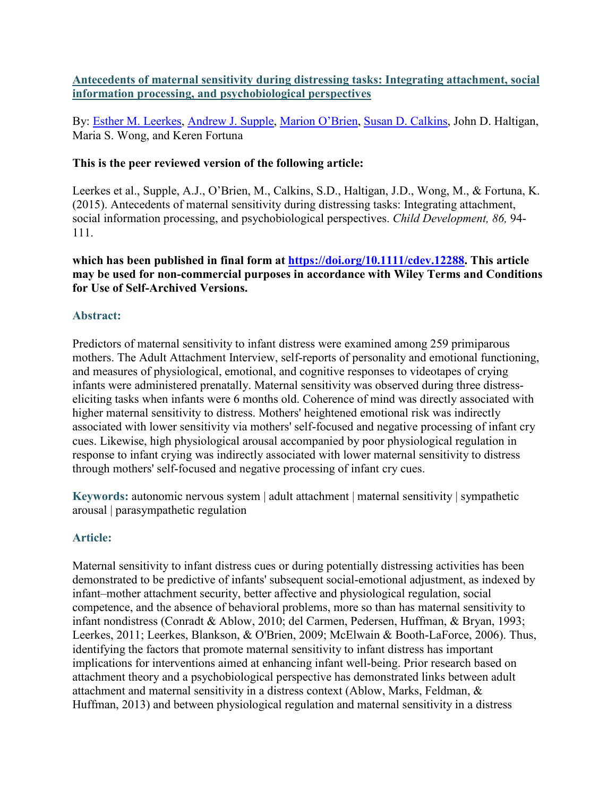**Antecedents of maternal sensitivity during distressing tasks: Integrating attachment, social information processing, and psychobiological perspectives**

By: [Esther M. Leerkes,](https://libres.uncg.edu/ir/uncg/clist.aspx?id=1186) [Andrew J. Supple,](https://libres.uncg.edu/ir/uncg/clist.aspx?id=1308) [Marion O'Brien,](https://libres.uncg.edu/ir/uncg/clist.aspx?id=1332) [Susan D. Calkins,](https://libres.uncg.edu/ir/uncg/clist.aspx?id=1258) John D. Haltigan, Maria S. Wong, and Keren Fortuna

### **This is the peer reviewed version of the following article:**

Leerkes et al., Supple, A.J., O'Brien, M., Calkins, S.D., Haltigan, J.D., Wong, M., & Fortuna, K. (2015). Antecedents of maternal sensitivity during distressing tasks: Integrating attachment, social information processing, and psychobiological perspectives. *Child Development, 86,* 94- 111.

**which has been published in final form at [https://doi.org/10.1111/cdev.12288.](https://doi.org/10.1111/cdev.12288) This article may be used for non-commercial purposes in accordance with Wiley Terms and Conditions for Use of Self-Archived Versions.**

### **Abstract:**

Predictors of maternal sensitivity to infant distress were examined among 259 primiparous mothers. The Adult Attachment Interview, self‐reports of personality and emotional functioning, and measures of physiological, emotional, and cognitive responses to videotapes of crying infants were administered prenatally. Maternal sensitivity was observed during three distresseliciting tasks when infants were 6 months old. Coherence of mind was directly associated with higher maternal sensitivity to distress. Mothers' heightened emotional risk was indirectly associated with lower sensitivity via mothers' self‐focused and negative processing of infant cry cues. Likewise, high physiological arousal accompanied by poor physiological regulation in response to infant crying was indirectly associated with lower maternal sensitivity to distress through mothers' self‐focused and negative processing of infant cry cues.

**Keywords:** autonomic nervous system | adult attachment | maternal sensitivity | sympathetic arousal | parasympathetic regulation

## **Article:**

Maternal sensitivity to infant distress cues or during potentially distressing activities has been demonstrated to be predictive of infants' subsequent social‐emotional adjustment, as indexed by infant–mother attachment security, better affective and physiological regulation, social competence, and the absence of behavioral problems, more so than has maternal sensitivity to infant nondistress (Conradt & Ablow, 2010; del Carmen, Pedersen, Huffman, & Bryan, 1993; Leerkes, 2011; Leerkes, Blankson, & O'Brien, 2009; McElwain & Booth-LaForce, 2006). Thus, identifying the factors that promote maternal sensitivity to infant distress has important implications for interventions aimed at enhancing infant well-being. Prior research based on attachment theory and a psychobiological perspective has demonstrated links between adult attachment and maternal sensitivity in a distress context (Ablow, Marks, Feldman, & Huffman, 2013) and between physiological regulation and maternal sensitivity in a distress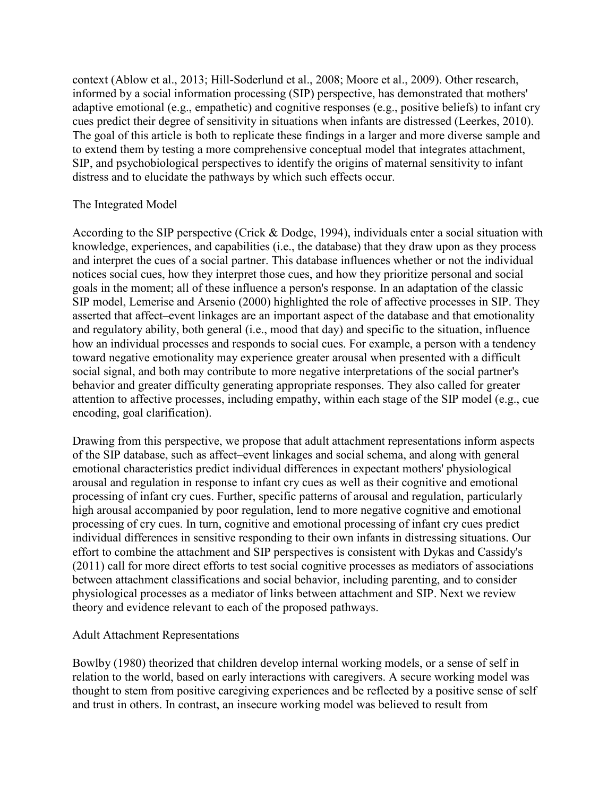context (Ablow et al., 2013; Hill-Soderlund et al., 2008; Moore et al., 2009). Other research, informed by a social information processing (SIP) perspective, has demonstrated that mothers' adaptive emotional (e.g., empathetic) and cognitive responses (e.g., positive beliefs) to infant cry cues predict their degree of sensitivity in situations when infants are distressed (Leerkes, 2010). The goal of this article is both to replicate these findings in a larger and more diverse sample and to extend them by testing a more comprehensive conceptual model that integrates attachment, SIP, and psychobiological perspectives to identify the origins of maternal sensitivity to infant distress and to elucidate the pathways by which such effects occur.

### The Integrated Model

According to the SIP perspective (Crick & Dodge, 1994), individuals enter a social situation with knowledge, experiences, and capabilities (i.e., the database) that they draw upon as they process and interpret the cues of a social partner. This database influences whether or not the individual notices social cues, how they interpret those cues, and how they prioritize personal and social goals in the moment; all of these influence a person's response. In an adaptation of the classic SIP model, Lemerise and Arsenio (2000) highlighted the role of affective processes in SIP. They asserted that affect–event linkages are an important aspect of the database and that emotionality and regulatory ability, both general (i.e., mood that day) and specific to the situation, influence how an individual processes and responds to social cues. For example, a person with a tendency toward negative emotionality may experience greater arousal when presented with a difficult social signal, and both may contribute to more negative interpretations of the social partner's behavior and greater difficulty generating appropriate responses. They also called for greater attention to affective processes, including empathy, within each stage of the SIP model (e.g., cue encoding, goal clarification).

Drawing from this perspective, we propose that adult attachment representations inform aspects of the SIP database, such as affect–event linkages and social schema, and along with general emotional characteristics predict individual differences in expectant mothers' physiological arousal and regulation in response to infant cry cues as well as their cognitive and emotional processing of infant cry cues. Further, specific patterns of arousal and regulation, particularly high arousal accompanied by poor regulation, lend to more negative cognitive and emotional processing of cry cues. In turn, cognitive and emotional processing of infant cry cues predict individual differences in sensitive responding to their own infants in distressing situations. Our effort to combine the attachment and SIP perspectives is consistent with Dykas and Cassidy's (2011) call for more direct efforts to test social cognitive processes as mediators of associations between attachment classifications and social behavior, including parenting, and to consider physiological processes as a mediator of links between attachment and SIP. Next we review theory and evidence relevant to each of the proposed pathways.

### Adult Attachment Representations

Bowlby (1980) theorized that children develop internal working models, or a sense of self in relation to the world, based on early interactions with caregivers. A secure working model was thought to stem from positive caregiving experiences and be reflected by a positive sense of self and trust in others. In contrast, an insecure working model was believed to result from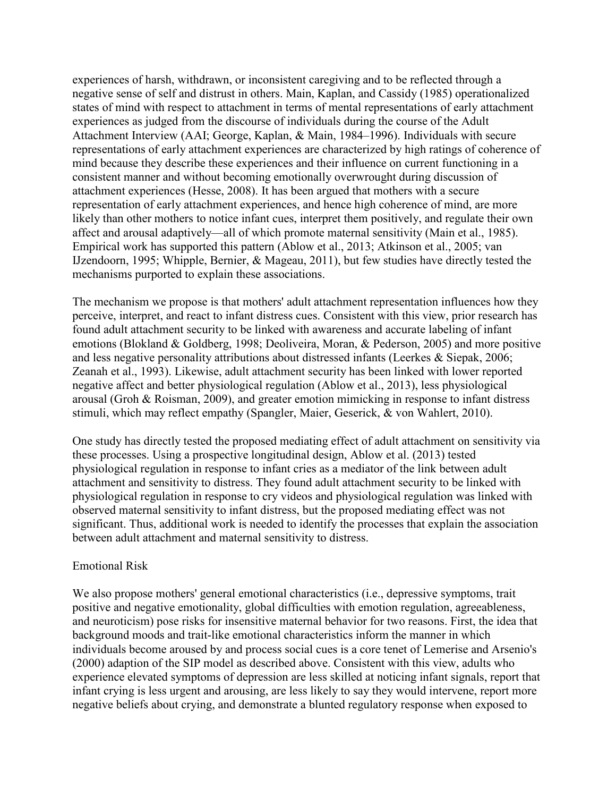experiences of harsh, withdrawn, or inconsistent caregiving and to be reflected through a negative sense of self and distrust in others. Main, Kaplan, and Cassidy (1985) operationalized states of mind with respect to attachment in terms of mental representations of early attachment experiences as judged from the discourse of individuals during the course of the Adult Attachment Interview (AAI; George, Kaplan, & Main, 1984–1996). Individuals with secure representations of early attachment experiences are characterized by high ratings of coherence of mind because they describe these experiences and their influence on current functioning in a consistent manner and without becoming emotionally overwrought during discussion of attachment experiences (Hesse, 2008). It has been argued that mothers with a secure representation of early attachment experiences, and hence high coherence of mind, are more likely than other mothers to notice infant cues, interpret them positively, and regulate their own affect and arousal adaptively—all of which promote maternal sensitivity (Main et al., 1985). Empirical work has supported this pattern (Ablow et al., 2013; Atkinson et al., 2005; van IJzendoorn, 1995; Whipple, Bernier, & Mageau, 2011), but few studies have directly tested the mechanisms purported to explain these associations.

The mechanism we propose is that mothers' adult attachment representation influences how they perceive, interpret, and react to infant distress cues. Consistent with this view, prior research has found adult attachment security to be linked with awareness and accurate labeling of infant emotions (Blokland & Goldberg, 1998; Deoliveira, Moran, & Pederson, 2005) and more positive and less negative personality attributions about distressed infants (Leerkes & Siepak, 2006; Zeanah et al., 1993). Likewise, adult attachment security has been linked with lower reported negative affect and better physiological regulation (Ablow et al., 2013), less physiological arousal (Groh & Roisman, 2009), and greater emotion mimicking in response to infant distress stimuli, which may reflect empathy (Spangler, Maier, Geserick, & von Wahlert, 2010).

One study has directly tested the proposed mediating effect of adult attachment on sensitivity via these processes. Using a prospective longitudinal design, Ablow et al. (2013) tested physiological regulation in response to infant cries as a mediator of the link between adult attachment and sensitivity to distress. They found adult attachment security to be linked with physiological regulation in response to cry videos and physiological regulation was linked with observed maternal sensitivity to infant distress, but the proposed mediating effect was not significant. Thus, additional work is needed to identify the processes that explain the association between adult attachment and maternal sensitivity to distress.

#### Emotional Risk

We also propose mothers' general emotional characteristics (i.e., depressive symptoms, trait positive and negative emotionality, global difficulties with emotion regulation, agreeableness, and neuroticism) pose risks for insensitive maternal behavior for two reasons. First, the idea that background moods and trait‐like emotional characteristics inform the manner in which individuals become aroused by and process social cues is a core tenet of Lemerise and Arsenio's (2000) adaption of the SIP model as described above. Consistent with this view, adults who experience elevated symptoms of depression are less skilled at noticing infant signals, report that infant crying is less urgent and arousing, are less likely to say they would intervene, report more negative beliefs about crying, and demonstrate a blunted regulatory response when exposed to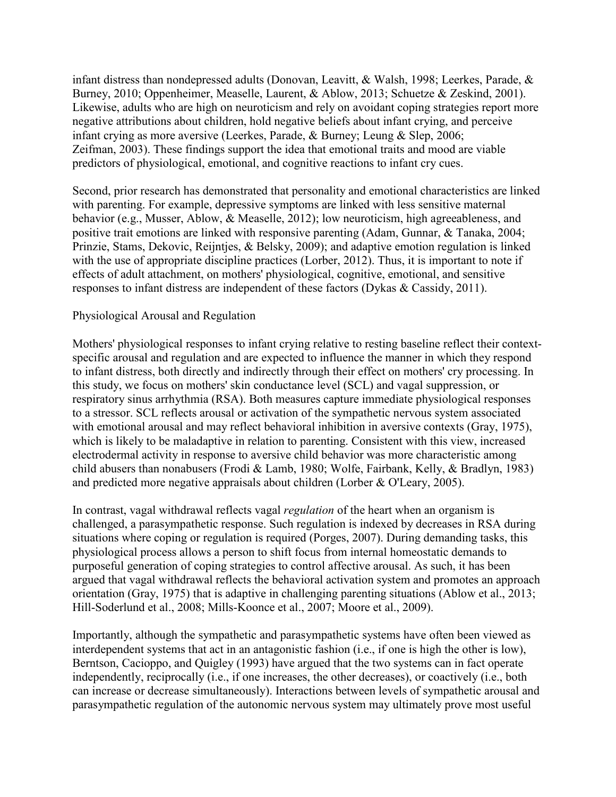infant distress than nondepressed adults (Donovan, Leavitt, & Walsh, 1998; Leerkes, Parade, & Burney, 2010; Oppenheimer, Measelle, Laurent, & Ablow, 2013; Schuetze & Zeskind, 2001). Likewise, adults who are high on neuroticism and rely on avoidant coping strategies report more negative attributions about children, hold negative beliefs about infant crying, and perceive infant crying as more aversive (Leerkes, Parade, & Burney; Leung & Slep, 2006; Zeifman, 2003). These findings support the idea that emotional traits and mood are viable predictors of physiological, emotional, and cognitive reactions to infant cry cues.

Second, prior research has demonstrated that personality and emotional characteristics are linked with parenting. For example, depressive symptoms are linked with less sensitive maternal behavior (e.g., Musser, Ablow, & Measelle, 2012); low neuroticism, high agreeableness, and positive trait emotions are linked with responsive parenting (Adam, Gunnar, & Tanaka, 2004; Prinzie, Stams, Dekovic, Reijntjes, & Belsky, 2009); and adaptive emotion regulation is linked with the use of appropriate discipline practices (Lorber, 2012). Thus, it is important to note if effects of adult attachment, on mothers' physiological, cognitive, emotional, and sensitive responses to infant distress are independent of these factors (Dykas & Cassidy, 2011).

### Physiological Arousal and Regulation

Mothers' physiological responses to infant crying relative to resting baseline reflect their contextspecific arousal and regulation and are expected to influence the manner in which they respond to infant distress, both directly and indirectly through their effect on mothers' cry processing. In this study, we focus on mothers' skin conductance level (SCL) and vagal suppression, or respiratory sinus arrhythmia (RSA). Both measures capture immediate physiological responses to a stressor. SCL reflects arousal or activation of the sympathetic nervous system associated with emotional arousal and may reflect behavioral inhibition in aversive contexts (Gray, 1975), which is likely to be maladaptive in relation to parenting. Consistent with this view, increased electrodermal activity in response to aversive child behavior was more characteristic among child abusers than nonabusers (Frodi & Lamb, 1980; Wolfe, Fairbank, Kelly, & Bradlyn, 1983) and predicted more negative appraisals about children (Lorber & O'Leary, 2005).

In contrast, vagal withdrawal reflects vagal *regulation* of the heart when an organism is challenged, a parasympathetic response. Such regulation is indexed by decreases in RSA during situations where coping or regulation is required (Porges, 2007). During demanding tasks, this physiological process allows a person to shift focus from internal homeostatic demands to purposeful generation of coping strategies to control affective arousal. As such, it has been argued that vagal withdrawal reflects the behavioral activation system and promotes an approach orientation (Gray, 1975) that is adaptive in challenging parenting situations (Ablow et al., 2013; Hill-Soderlund et al., 2008; Mills-Koonce et al., 2007; Moore et al., 2009).

Importantly, although the sympathetic and parasympathetic systems have often been viewed as interdependent systems that act in an antagonistic fashion (i.e., if one is high the other is low), Berntson, Cacioppo, and Quigley (1993) have argued that the two systems can in fact operate independently, reciprocally (i.e., if one increases, the other decreases), or coactively (i.e., both can increase or decrease simultaneously). Interactions between levels of sympathetic arousal and parasympathetic regulation of the autonomic nervous system may ultimately prove most useful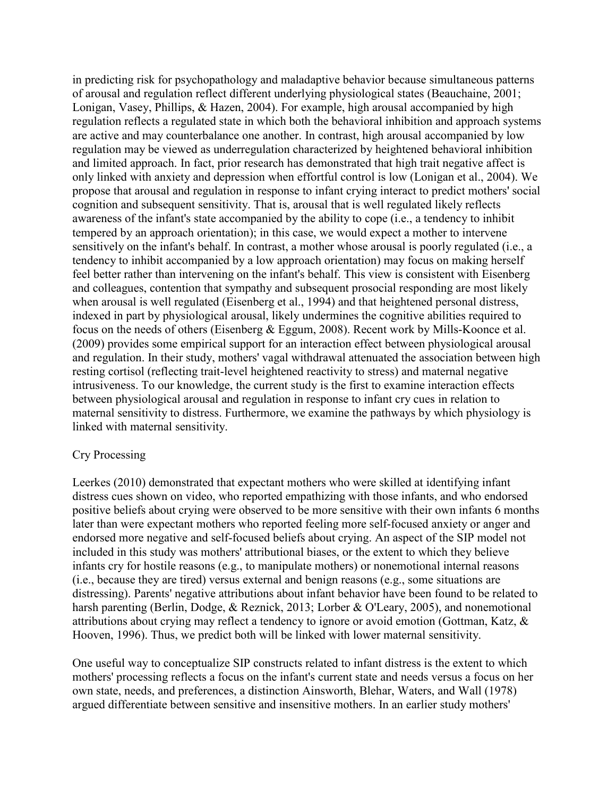in predicting risk for psychopathology and maladaptive behavior because simultaneous patterns of arousal and regulation reflect different underlying physiological states (Beauchaine, 2001; Lonigan, Vasey, Phillips, & Hazen, 2004). For example, high arousal accompanied by high regulation reflects a regulated state in which both the behavioral inhibition and approach systems are active and may counterbalance one another. In contrast, high arousal accompanied by low regulation may be viewed as underregulation characterized by heightened behavioral inhibition and limited approach. In fact, prior research has demonstrated that high trait negative affect is only linked with anxiety and depression when effortful control is low (Lonigan et al., 2004). We propose that arousal and regulation in response to infant crying interact to predict mothers' social cognition and subsequent sensitivity. That is, arousal that is well regulated likely reflects awareness of the infant's state accompanied by the ability to cope (i.e., a tendency to inhibit tempered by an approach orientation); in this case, we would expect a mother to intervene sensitively on the infant's behalf. In contrast, a mother whose arousal is poorly regulated (i.e., a tendency to inhibit accompanied by a low approach orientation) may focus on making herself feel better rather than intervening on the infant's behalf. This view is consistent with Eisenberg and colleagues, contention that sympathy and subsequent prosocial responding are most likely when arousal is well regulated (Eisenberg et al., 1994) and that heightened personal distress, indexed in part by physiological arousal, likely undermines the cognitive abilities required to focus on the needs of others (Eisenberg & Eggum, 2008). Recent work by Mills‐Koonce et al. (2009) provides some empirical support for an interaction effect between physiological arousal and regulation. In their study, mothers' vagal withdrawal attenuated the association between high resting cortisol (reflecting trait‐level heightened reactivity to stress) and maternal negative intrusiveness. To our knowledge, the current study is the first to examine interaction effects between physiological arousal and regulation in response to infant cry cues in relation to maternal sensitivity to distress. Furthermore, we examine the pathways by which physiology is linked with maternal sensitivity.

#### Cry Processing

Leerkes (2010) demonstrated that expectant mothers who were skilled at identifying infant distress cues shown on video, who reported empathizing with those infants, and who endorsed positive beliefs about crying were observed to be more sensitive with their own infants 6 months later than were expectant mothers who reported feeling more self-focused anxiety or anger and endorsed more negative and self‐focused beliefs about crying. An aspect of the SIP model not included in this study was mothers' attributional biases, or the extent to which they believe infants cry for hostile reasons (e.g., to manipulate mothers) or nonemotional internal reasons (i.e., because they are tired) versus external and benign reasons (e.g., some situations are distressing). Parents' negative attributions about infant behavior have been found to be related to harsh parenting (Berlin, Dodge, & Reznick, 2013; Lorber & O'Leary, 2005), and nonemotional attributions about crying may reflect a tendency to ignore or avoid emotion (Gottman, Katz, & Hooven, 1996). Thus, we predict both will be linked with lower maternal sensitivity.

One useful way to conceptualize SIP constructs related to infant distress is the extent to which mothers' processing reflects a focus on the infant's current state and needs versus a focus on her own state, needs, and preferences, a distinction Ainsworth, Blehar, Waters, and Wall (1978) argued differentiate between sensitive and insensitive mothers. In an earlier study mothers'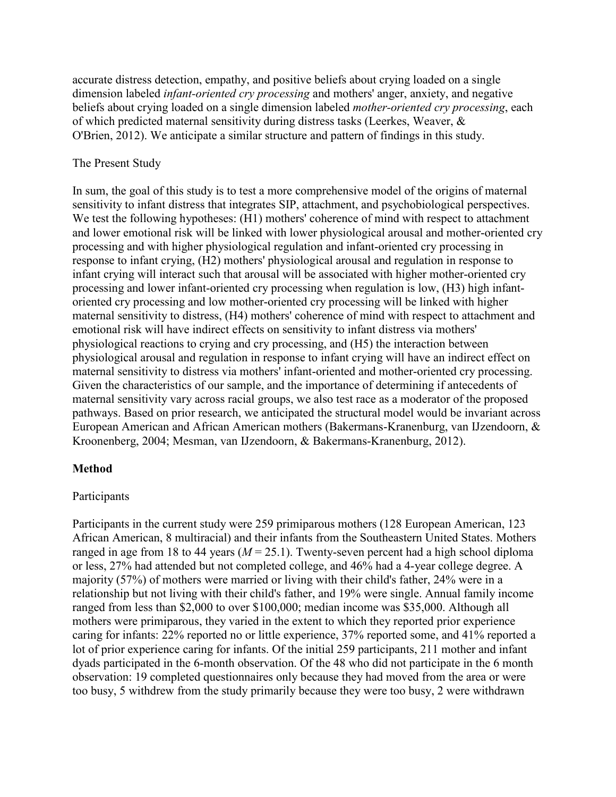accurate distress detection, empathy, and positive beliefs about crying loaded on a single dimension labeled *infant‐oriented cry processing* and mothers' anger, anxiety, and negative beliefs about crying loaded on a single dimension labeled *mother‐oriented cry processing*, each of which predicted maternal sensitivity during distress tasks (Leerkes, Weaver, & O'Brien, 2012). We anticipate a similar structure and pattern of findings in this study.

### The Present Study

In sum, the goal of this study is to test a more comprehensive model of the origins of maternal sensitivity to infant distress that integrates SIP, attachment, and psychobiological perspectives. We test the following hypotheses: (H1) mothers' coherence of mind with respect to attachment and lower emotional risk will be linked with lower physiological arousal and mother‐oriented cry processing and with higher physiological regulation and infant‐oriented cry processing in response to infant crying, (H2) mothers' physiological arousal and regulation in response to infant crying will interact such that arousal will be associated with higher mother‐oriented cry processing and lower infant-oriented cry processing when regulation is low, (H3) high infantoriented cry processing and low mother‐oriented cry processing will be linked with higher maternal sensitivity to distress, (H4) mothers' coherence of mind with respect to attachment and emotional risk will have indirect effects on sensitivity to infant distress via mothers' physiological reactions to crying and cry processing, and (H5) the interaction between physiological arousal and regulation in response to infant crying will have an indirect effect on maternal sensitivity to distress via mothers' infant‐oriented and mother‐oriented cry processing. Given the characteristics of our sample, and the importance of determining if antecedents of maternal sensitivity vary across racial groups, we also test race as a moderator of the proposed pathways. Based on prior research, we anticipated the structural model would be invariant across European American and African American mothers (Bakermans‐Kranenburg, van IJzendoorn, & Kroonenberg, 2004; Mesman, van IJzendoorn, & Bakermans‐Kranenburg, 2012).

### **Method**

### Participants

Participants in the current study were 259 primiparous mothers (128 European American, 123 African American, 8 multiracial) and their infants from the Southeastern United States. Mothers ranged in age from 18 to 44 years ( $M = 25.1$ ). Twenty-seven percent had a high school diploma or less, 27% had attended but not completed college, and 46% had a 4‐year college degree. A majority (57%) of mothers were married or living with their child's father, 24% were in a relationship but not living with their child's father, and 19% were single. Annual family income ranged from less than \$2,000 to over \$100,000; median income was \$35,000. Although all mothers were primiparous, they varied in the extent to which they reported prior experience caring for infants: 22% reported no or little experience, 37% reported some, and 41% reported a lot of prior experience caring for infants. Of the initial 259 participants, 211 mother and infant dyads participated in the 6‐month observation. Of the 48 who did not participate in the 6 month observation: 19 completed questionnaires only because they had moved from the area or were too busy, 5 withdrew from the study primarily because they were too busy, 2 were withdrawn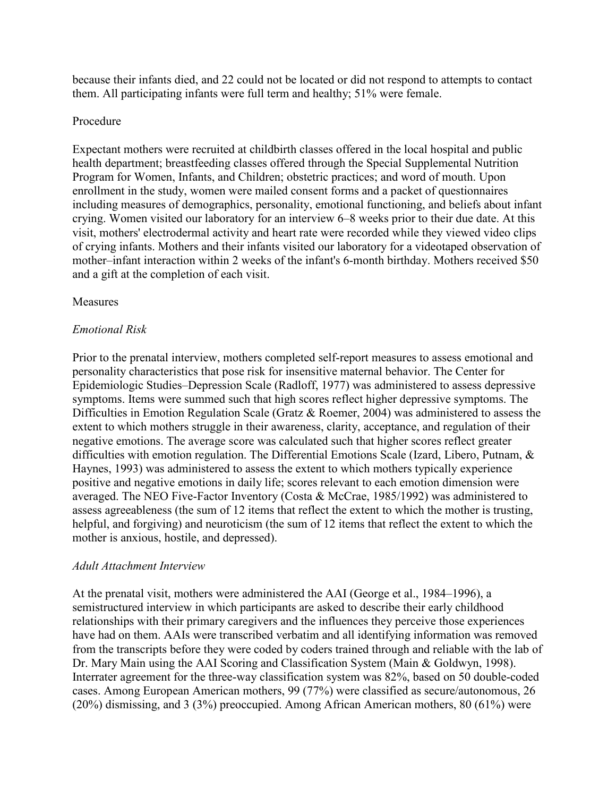because their infants died, and 22 could not be located or did not respond to attempts to contact them. All participating infants were full term and healthy; 51% were female.

### Procedure

Expectant mothers were recruited at childbirth classes offered in the local hospital and public health department; breastfeeding classes offered through the Special Supplemental Nutrition Program for Women, Infants, and Children; obstetric practices; and word of mouth. Upon enrollment in the study, women were mailed consent forms and a packet of questionnaires including measures of demographics, personality, emotional functioning, and beliefs about infant crying. Women visited our laboratory for an interview 6–8 weeks prior to their due date. At this visit, mothers' electrodermal activity and heart rate were recorded while they viewed video clips of crying infants. Mothers and their infants visited our laboratory for a videotaped observation of mother–infant interaction within 2 weeks of the infant's 6-month birthday. Mothers received \$50 and a gift at the completion of each visit.

#### Measures

### *Emotional Risk*

Prior to the prenatal interview, mothers completed self-report measures to assess emotional and personality characteristics that pose risk for insensitive maternal behavior. The Center for Epidemiologic Studies–Depression Scale (Radloff, 1977) was administered to assess depressive symptoms. Items were summed such that high scores reflect higher depressive symptoms. The Difficulties in Emotion Regulation Scale (Gratz & Roemer, 2004) was administered to assess the extent to which mothers struggle in their awareness, clarity, acceptance, and regulation of their negative emotions. The average score was calculated such that higher scores reflect greater difficulties with emotion regulation. The Differential Emotions Scale (Izard, Libero, Putnam, & Haynes, 1993) was administered to assess the extent to which mothers typically experience positive and negative emotions in daily life; scores relevant to each emotion dimension were averaged. The NEO Five-Factor Inventory (Costa & McCrae, 1985/1992) was administered to assess agreeableness (the sum of 12 items that reflect the extent to which the mother is trusting, helpful, and forgiving) and neuroticism (the sum of 12 items that reflect the extent to which the mother is anxious, hostile, and depressed).

#### *Adult Attachment Interview*

At the prenatal visit, mothers were administered the AAI (George et al., 1984–1996), a semistructured interview in which participants are asked to describe their early childhood relationships with their primary caregivers and the influences they perceive those experiences have had on them. AAIs were transcribed verbatim and all identifying information was removed from the transcripts before they were coded by coders trained through and reliable with the lab of Dr. Mary Main using the AAI Scoring and Classification System (Main & Goldwyn, 1998). Interrater agreement for the three‐way classification system was 82%, based on 50 double‐coded cases. Among European American mothers, 99 (77%) were classified as secure/autonomous, 26 (20%) dismissing, and 3 (3%) preoccupied. Among African American mothers, 80 (61%) were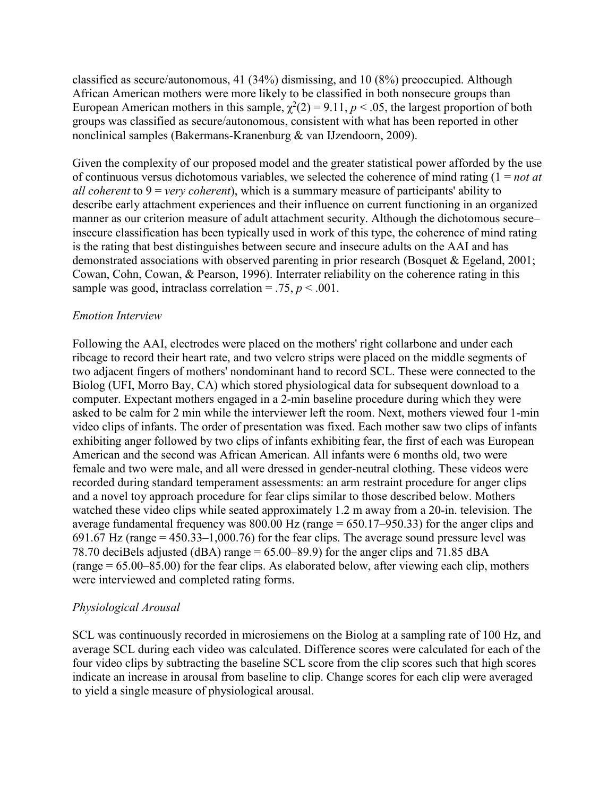classified as secure/autonomous, 41 (34%) dismissing, and 10 (8%) preoccupied. Although African American mothers were more likely to be classified in both nonsecure groups than European American mothers in this sample,  $\chi^2(2) = 9.11$ ,  $p < .05$ , the largest proportion of both groups was classified as secure/autonomous, consistent with what has been reported in other nonclinical samples (Bakermans‐Kranenburg & van IJzendoorn, 2009).

Given the complexity of our proposed model and the greater statistical power afforded by the use of continuous versus dichotomous variables, we selected the coherence of mind rating (1 = *not at all coherent* to 9 = *very coherent*), which is a summary measure of participants' ability to describe early attachment experiences and their influence on current functioning in an organized manner as our criterion measure of adult attachment security. Although the dichotomous secure– insecure classification has been typically used in work of this type, the coherence of mind rating is the rating that best distinguishes between secure and insecure adults on the AAI and has demonstrated associations with observed parenting in prior research (Bosquet & Egeland, 2001; Cowan, Cohn, Cowan, & Pearson, 1996). Interrater reliability on the coherence rating in this sample was good, intraclass correlation = .75,  $p < .001$ .

### *Emotion Interview*

Following the AAI, electrodes were placed on the mothers' right collarbone and under each ribcage to record their heart rate, and two velcro strips were placed on the middle segments of two adjacent fingers of mothers' nondominant hand to record SCL. These were connected to the Biolog (UFI, Morro Bay, CA) which stored physiological data for subsequent download to a computer. Expectant mothers engaged in a 2‐min baseline procedure during which they were asked to be calm for 2 min while the interviewer left the room. Next, mothers viewed four 1‐min video clips of infants. The order of presentation was fixed. Each mother saw two clips of infants exhibiting anger followed by two clips of infants exhibiting fear, the first of each was European American and the second was African American. All infants were 6 months old, two were female and two were male, and all were dressed in gender‐neutral clothing. These videos were recorded during standard temperament assessments: an arm restraint procedure for anger clips and a novel toy approach procedure for fear clips similar to those described below. Mothers watched these video clips while seated approximately 1.2 m away from a 20-in. television. The average fundamental frequency was 800.00 Hz (range = 650.17–950.33) for the anger clips and 691.67 Hz (range  $= 450.33 - 1,000.76$ ) for the fear clips. The average sound pressure level was 78.70 deciBels adjusted (dBA) range = 65.00–89.9) for the anger clips and 71.85 dBA  $(\text{range} = 65.00 - 85.00)$  for the fear clips. As elaborated below, after viewing each clip, mothers were interviewed and completed rating forms.

### *Physiological Arousal*

SCL was continuously recorded in microsiemens on the Biolog at a sampling rate of 100 Hz, and average SCL during each video was calculated. Difference scores were calculated for each of the four video clips by subtracting the baseline SCL score from the clip scores such that high scores indicate an increase in arousal from baseline to clip. Change scores for each clip were averaged to yield a single measure of physiological arousal.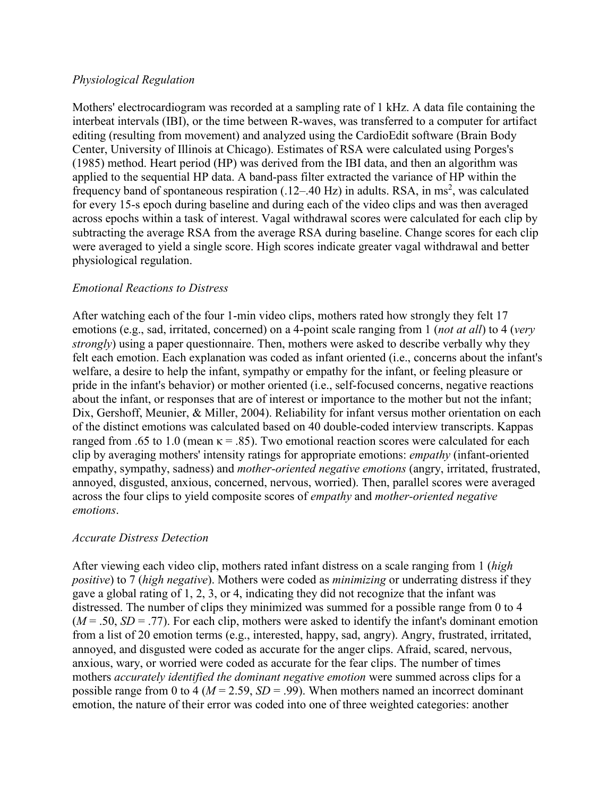### *Physiological Regulation*

Mothers' electrocardiogram was recorded at a sampling rate of 1 kHz. A data file containing the interbeat intervals (IBI), or the time between R‐waves, was transferred to a computer for artifact editing (resulting from movement) and analyzed using the CardioEdit software (Brain Body Center, University of Illinois at Chicago). Estimates of RSA were calculated using Porges's (1985) method. Heart period (HP) was derived from the IBI data, and then an algorithm was applied to the sequential HP data. A band‐pass filter extracted the variance of HP within the frequency band of spontaneous respiration  $(.12-.40 \text{ Hz})$  in adults. RSA, in ms<sup>2</sup>, was calculated for every 15‐s epoch during baseline and during each of the video clips and was then averaged across epochs within a task of interest. Vagal withdrawal scores were calculated for each clip by subtracting the average RSA from the average RSA during baseline. Change scores for each clip were averaged to yield a single score. High scores indicate greater vagal withdrawal and better physiological regulation.

### *Emotional Reactions to Distress*

After watching each of the four 1‐min video clips, mothers rated how strongly they felt 17 emotions (e.g., sad, irritated, concerned) on a 4‐point scale ranging from 1 (*not at all*) to 4 (*very strongly*) using a paper questionnaire. Then, mothers were asked to describe verbally why they felt each emotion. Each explanation was coded as infant oriented (i.e., concerns about the infant's welfare, a desire to help the infant, sympathy or empathy for the infant, or feeling pleasure or pride in the infant's behavior) or mother oriented (i.e., self‐focused concerns, negative reactions about the infant, or responses that are of interest or importance to the mother but not the infant; Dix, Gershoff, Meunier, & Miller, 2004). Reliability for infant versus mother orientation on each of the distinct emotions was calculated based on 40 double‐coded interview transcripts. Kappas ranged from .65 to 1.0 (mean  $\kappa = .85$ ). Two emotional reaction scores were calculated for each clip by averaging mothers' intensity ratings for appropriate emotions: *empathy* (infant‐oriented empathy, sympathy, sadness) and *mother-oriented negative emotions* (angry, irritated, frustrated, annoyed, disgusted, anxious, concerned, nervous, worried). Then, parallel scores were averaged across the four clips to yield composite scores of *empathy* and *mother‐oriented negative emotions*.

### *Accurate Distress Detection*

After viewing each video clip, mothers rated infant distress on a scale ranging from 1 (*high positive*) to 7 (*high negative*). Mothers were coded as *minimizing* or underrating distress if they gave a global rating of 1, 2, 3, or 4, indicating they did not recognize that the infant was distressed. The number of clips they minimized was summed for a possible range from 0 to 4  $(M = .50, SD = .77)$ . For each clip, mothers were asked to identify the infant's dominant emotion from a list of 20 emotion terms (e.g., interested, happy, sad, angry). Angry, frustrated, irritated, annoyed, and disgusted were coded as accurate for the anger clips. Afraid, scared, nervous, anxious, wary, or worried were coded as accurate for the fear clips. The number of times mothers *accurately identified the dominant negative emotion* were summed across clips for a possible range from 0 to 4 ( $M = 2.59$ ,  $SD = .99$ ). When mothers named an incorrect dominant emotion, the nature of their error was coded into one of three weighted categories: another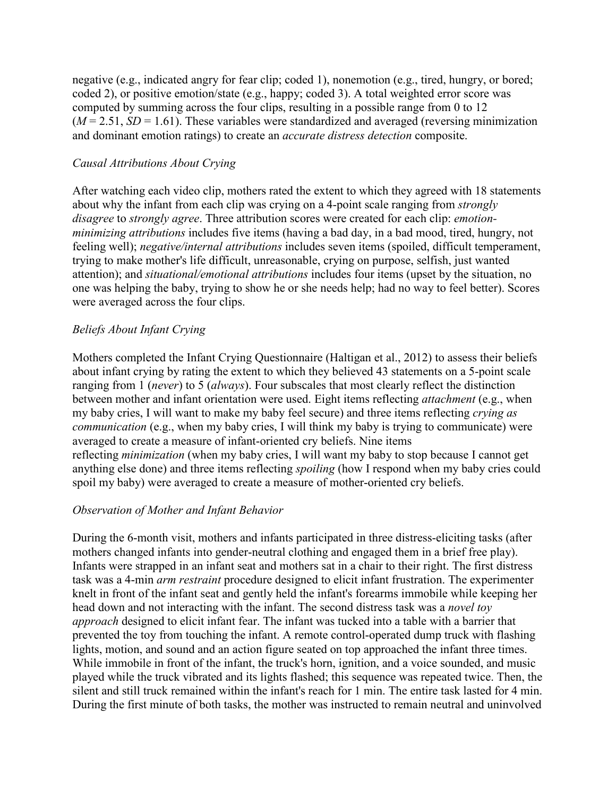negative (e.g., indicated angry for fear clip; coded 1), nonemotion (e.g., tired, hungry, or bored; coded 2), or positive emotion/state (e.g., happy; coded 3). A total weighted error score was computed by summing across the four clips, resulting in a possible range from 0 to 12  $(M = 2.51, SD = 1.61)$ . These variables were standardized and averaged (reversing minimization and dominant emotion ratings) to create an *accurate distress detection* composite.

### *Causal Attributions About Crying*

After watching each video clip, mothers rated the extent to which they agreed with 18 statements about why the infant from each clip was crying on a 4‐point scale ranging from *strongly disagree* to *strongly agree*. Three attribution scores were created for each clip: *emotion‐ minimizing attributions* includes five items (having a bad day, in a bad mood, tired, hungry, not feeling well); *negative/internal attributions* includes seven items (spoiled, difficult temperament, trying to make mother's life difficult, unreasonable, crying on purpose, selfish, just wanted attention); and *situational/emotional attributions* includes four items (upset by the situation, no one was helping the baby, trying to show he or she needs help; had no way to feel better). Scores were averaged across the four clips.

## *Beliefs About Infant Crying*

Mothers completed the Infant Crying Questionnaire (Haltigan et al., 2012) to assess their beliefs about infant crying by rating the extent to which they believed 43 statements on a 5‐point scale ranging from 1 (*never*) to 5 (*always*). Four subscales that most clearly reflect the distinction between mother and infant orientation were used. Eight items reflecting *attachment* (e.g., when my baby cries, I will want to make my baby feel secure) and three items reflecting *crying as communication* (e.g., when my baby cries, I will think my baby is trying to communicate) were averaged to create a measure of infant‐oriented cry beliefs. Nine items reflecting *minimization* (when my baby cries, I will want my baby to stop because I cannot get anything else done) and three items reflecting *spoiling* (how I respond when my baby cries could spoil my baby) were averaged to create a measure of mother-oriented cry beliefs.

## *Observation of Mother and Infant Behavior*

During the 6-month visit, mothers and infants participated in three distress-eliciting tasks (after mothers changed infants into gender‐neutral clothing and engaged them in a brief free play). Infants were strapped in an infant seat and mothers sat in a chair to their right. The first distress task was a 4‐min *arm restraint* procedure designed to elicit infant frustration. The experimenter knelt in front of the infant seat and gently held the infant's forearms immobile while keeping her head down and not interacting with the infant. The second distress task was a *novel toy approach* designed to elicit infant fear. The infant was tucked into a table with a barrier that prevented the toy from touching the infant. A remote control-operated dump truck with flashing lights, motion, and sound and an action figure seated on top approached the infant three times. While immobile in front of the infant, the truck's horn, ignition, and a voice sounded, and music played while the truck vibrated and its lights flashed; this sequence was repeated twice. Then, the silent and still truck remained within the infant's reach for 1 min. The entire task lasted for 4 min. During the first minute of both tasks, the mother was instructed to remain neutral and uninvolved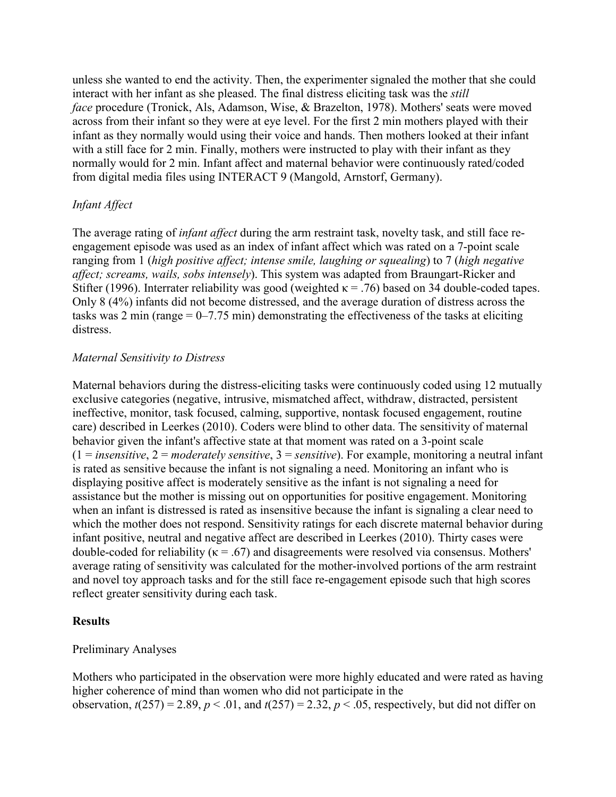unless she wanted to end the activity. Then, the experimenter signaled the mother that she could interact with her infant as she pleased. The final distress eliciting task was the *still face* procedure (Tronick, Als, Adamson, Wise, & Brazelton, 1978). Mothers' seats were moved across from their infant so they were at eye level. For the first 2 min mothers played with their infant as they normally would using their voice and hands. Then mothers looked at their infant with a still face for 2 min. Finally, mothers were instructed to play with their infant as they normally would for 2 min. Infant affect and maternal behavior were continuously rated/coded from digital media files using INTERACT 9 (Mangold, Arnstorf, Germany).

### *Infant Affect*

The average rating of *infant affect* during the arm restraint task, novelty task, and still face reengagement episode was used as an index of infant affect which was rated on a 7‐point scale ranging from 1 (*high positive affect; intense smile, laughing or squealing*) to 7 (*high negative affect; screams, wails, sobs intensely*). This system was adapted from Braungart‐Ricker and Stifter (1996). Interrater reliability was good (weighted  $\kappa = .76$ ) based on 34 double-coded tapes. Only 8 (4%) infants did not become distressed, and the average duration of distress across the tasks was 2 min (range  $= 0 - 7.75$  min) demonstrating the effectiveness of the tasks at eliciting distress.

### *Maternal Sensitivity to Distress*

Maternal behaviors during the distress-eliciting tasks were continuously coded using 12 mutually exclusive categories (negative, intrusive, mismatched affect, withdraw, distracted, persistent ineffective, monitor, task focused, calming, supportive, nontask focused engagement, routine care) described in Leerkes (2010). Coders were blind to other data. The sensitivity of maternal behavior given the infant's affective state at that moment was rated on a 3‐point scale  $(1 = insensitive, 2 = moderately sensitive, 3 = sensitive)$ . For example, monitoring a neutral infant is rated as sensitive because the infant is not signaling a need. Monitoring an infant who is displaying positive affect is moderately sensitive as the infant is not signaling a need for assistance but the mother is missing out on opportunities for positive engagement. Monitoring when an infant is distressed is rated as insensitive because the infant is signaling a clear need to which the mother does not respond. Sensitivity ratings for each discrete maternal behavior during infant positive, neutral and negative affect are described in Leerkes (2010). Thirty cases were double-coded for reliability ( $\kappa$  = .67) and disagreements were resolved via consensus. Mothers' average rating of sensitivity was calculated for the mother‐involved portions of the arm restraint and novel toy approach tasks and for the still face re-engagement episode such that high scores reflect greater sensitivity during each task.

### **Results**

### Preliminary Analyses

Mothers who participated in the observation were more highly educated and were rated as having higher coherence of mind than women who did not participate in the observation,  $t(257) = 2.89$ ,  $p < .01$ , and  $t(257) = 2.32$ ,  $p < .05$ , respectively, but did not differ on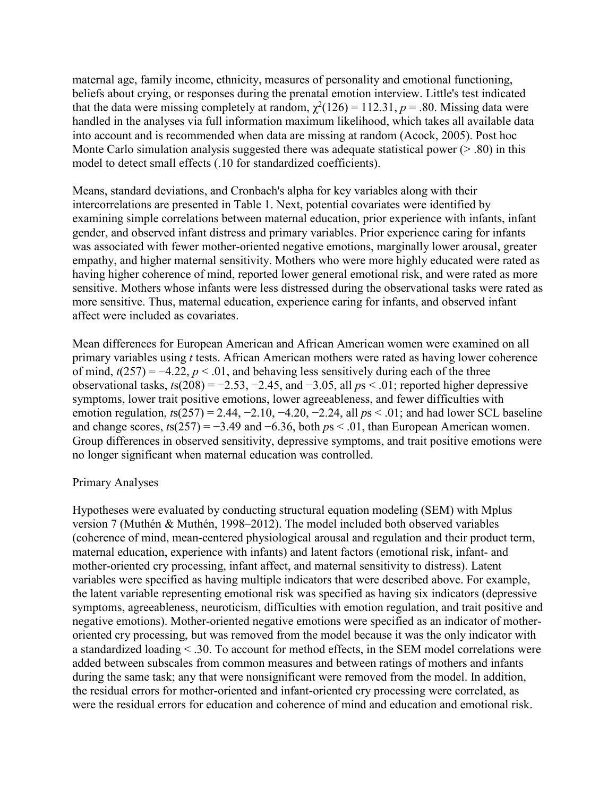maternal age, family income, ethnicity, measures of personality and emotional functioning, beliefs about crying, or responses during the prenatal emotion interview. Little's test indicated that the data were missing completely at random,  $\chi^2(126) = 112.31$ ,  $p = .80$ . Missing data were handled in the analyses via full information maximum likelihood, which takes all available data into account and is recommended when data are missing at random (Acock, 2005). Post hoc Monte Carlo simulation analysis suggested there was adequate statistical power  $(> 0.80)$  in this model to detect small effects (.10 for standardized coefficients).

Means, standard deviations, and Cronbach's alpha for key variables along with their intercorrelations are presented in Table 1. Next, potential covariates were identified by examining simple correlations between maternal education, prior experience with infants, infant gender, and observed infant distress and primary variables. Prior experience caring for infants was associated with fewer mother-oriented negative emotions, marginally lower arousal, greater empathy, and higher maternal sensitivity. Mothers who were more highly educated were rated as having higher coherence of mind, reported lower general emotional risk, and were rated as more sensitive. Mothers whose infants were less distressed during the observational tasks were rated as more sensitive. Thus, maternal education, experience caring for infants, and observed infant affect were included as covariates.

Mean differences for European American and African American women were examined on all primary variables using *t* tests. African American mothers were rated as having lower coherence of mind,  $t(257) = -4.22$ ,  $p < 0.01$ , and behaving less sensitively during each of the three observational tasks,  $ts(208) = -2.53, -2.45,$  and  $-3.05$ , all  $ps < 0.01$ ; reported higher depressive symptoms, lower trait positive emotions, lower agreeableness, and fewer difficulties with emotion regulation, *t*s(257) = 2.44, −2.10, −4.20, −2.24, all *p*s < .01; and had lower SCL baseline and change scores,  $ts(257) = -3.49$  and  $-6.36$ , both  $ps < 0.01$ , than European American women. Group differences in observed sensitivity, depressive symptoms, and trait positive emotions were no longer significant when maternal education was controlled.

### Primary Analyses

Hypotheses were evaluated by conducting structural equation modeling (SEM) with Mplus version 7 (Muthén & Muthén, 1998–2012). The model included both observed variables (coherence of mind, mean‐centered physiological arousal and regulation and their product term, maternal education, experience with infants) and latent factors (emotional risk, infant‐ and mother-oriented cry processing, infant affect, and maternal sensitivity to distress). Latent variables were specified as having multiple indicators that were described above. For example, the latent variable representing emotional risk was specified as having six indicators (depressive symptoms, agreeableness, neuroticism, difficulties with emotion regulation, and trait positive and negative emotions). Mother-oriented negative emotions were specified as an indicator of motheroriented cry processing, but was removed from the model because it was the only indicator with a standardized loading < .30. To account for method effects, in the SEM model correlations were added between subscales from common measures and between ratings of mothers and infants during the same task; any that were nonsignificant were removed from the model. In addition, the residual errors for mother‐oriented and infant‐oriented cry processing were correlated, as were the residual errors for education and coherence of mind and education and emotional risk.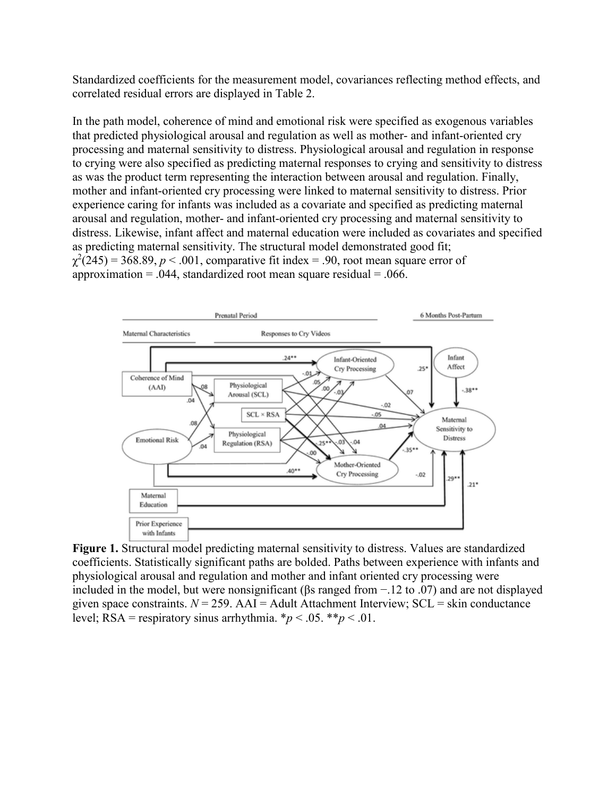Standardized coefficients for the measurement model, covariances reflecting method effects, and correlated residual errors are displayed in Table 2.

In the path model, coherence of mind and emotional risk were specified as exogenous variables that predicted physiological arousal and regulation as well as mother‐ and infant‐oriented cry processing and maternal sensitivity to distress. Physiological arousal and regulation in response to crying were also specified as predicting maternal responses to crying and sensitivity to distress as was the product term representing the interaction between arousal and regulation. Finally, mother and infant‐oriented cry processing were linked to maternal sensitivity to distress. Prior experience caring for infants was included as a covariate and specified as predicting maternal arousal and regulation, mother‐ and infant‐oriented cry processing and maternal sensitivity to distress. Likewise, infant affect and maternal education were included as covariates and specified as predicting maternal sensitivity. The structural model demonstrated good fit;  $\chi^2(245) = 368.89, p < .001$ , comparative fit index = .90, root mean square error of approximation  $= .044$ , standardized root mean square residual  $= .066$ .



**Figure 1.** Structural model predicting maternal sensitivity to distress. Values are standardized coefficients. Statistically significant paths are bolded. Paths between experience with infants and physiological arousal and regulation and mother and infant oriented cry processing were included in the model, but were nonsignificant (βs ranged from −.12 to .07) and are not displayed given space constraints.  $N = 259$ . AAI = Adult Attachment Interview;  $SCL = skin$  conductance level;  $RSA =$  respiratory sinus arrhythmia.  $\frac{k}{p}$  < .05.  $\frac{k}{p}$  < .01.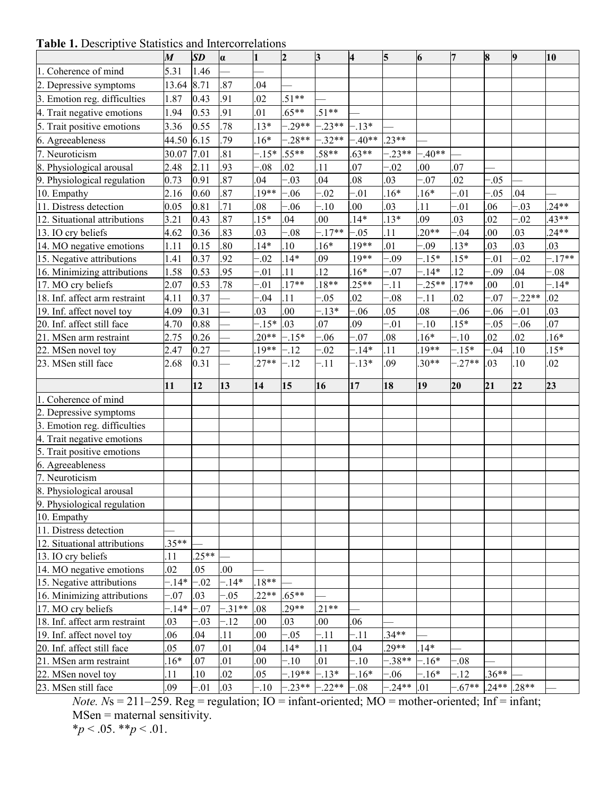**Table 1.** Descriptive Statistics and Intercorrelations

|                               | $\overline{M}$ | $\boldsymbol{SD}$ | $\alpha$                 | $\mathbf{1}$   | $\overline{2}$ | $\vert 3 \vert$ | $\overline{\mathbf{4}}$ | 5       | 6       | $\overline{7}$ | $\boldsymbol{8}$ | $\overline{9}$ | 10      |
|-------------------------------|----------------|-------------------|--------------------------|----------------|----------------|-----------------|-------------------------|---------|---------|----------------|------------------|----------------|---------|
| 1. Coherence of mind          | 5.31           | 1.46              |                          |                |                |                 |                         |         |         |                |                  |                |         |
| 2. Depressive symptoms        | 13.64          | 8.71              | .87                      | .04            |                |                 |                         |         |         |                |                  |                |         |
| 3. Emotion reg. difficulties  | 1.87           | 0.43              | .91                      | .02            | $51***$        |                 |                         |         |         |                |                  |                |         |
| 4. Trait negative emotions    | 1.94           | 0.53              | .91                      | .01            | $.65***$       | $.51**$         |                         |         |         |                |                  |                |         |
| 5. Trait positive emotions    | 3.36           | 0.55              | .78                      | $13*$          | $-0.29**$      | $-0.23**$       | $-13*$                  |         |         |                |                  |                |         |
| 6. Agreeableness              | 44.50          | 6.15              | .79                      | $16*$          | $-0.28**$      | $-.32**$        | $-40**$                 | $.23**$ |         |                |                  |                |         |
| 7. Neuroticism                | 30.07          | 7.01              | .81                      | $-15*$         | 55**           | $.58**$         | 63**                    | $-23**$ | $-40**$ |                |                  |                |         |
| 8. Physiological arousal      | 2.48           | 2.11              | .93                      | $-0.08$        | .02            | .11             | .07                     | $-0.02$ | .00     | .07            |                  |                |         |
| 9. Physiological regulation   | 0.73           | 0.91              | .87                      | .04            | $-0.03$        | .04             | .08                     | .03     | $-0.07$ | .02            | $-0.05$          |                |         |
| 10. Empathy                   | 2.16           | 0.60              | .87                      | $19**$         | $-0.06$        | $-0.02$         | $-0.01$                 | $.16*$  | $.16*$  | $-.01$         | $-0.05$          | .04            |         |
| 11. Distress detection        | 0.05           | 0.81              | .71                      | .08            | $-0.06$        | $-.10$          | .00                     | .03     | .11     | $-0.01$        | .06              | $-0.03$        | $24**$  |
| 12. Situational attributions  | 3.21           | 0.43              | .87                      | $15*$          | .04            | .00             | $14*$                   | $.13*$  | .09     | .03            | .02              | $-0.02$        | 43**    |
| 13. IO cry beliefs            | 4.62           | 0.36              | .83                      | .03            | $-0.08$        | $-17**$         | $-.05$                  | .11     | $.20**$ | $-.04$         | .00              | .03            | $24**$  |
| 14. MO negative emotions      | 1.11           | 0.15              | .80                      | $14*$          | .10            | $.16*$          | $19**$                  | .01     | $-0.09$ | $.13*$         | .03              | .03            | .03     |
| 15. Negative attributions     | 1.41           | 0.37              | .92                      | $-0.02$        | $.14*$         | .09             | 19**                    | $-0.09$ | $-15*$  | $15*$          | $-0.01$          | $-0.02$        | $-17**$ |
| 16. Minimizing attributions   | 1.58           | 0.53              | .95                      | $-0.01$        | .11            | .12             | $16*$                   | $-0.07$ | $-14*$  | .12            | $-0.09$          | .04            | $-0.08$ |
| 17. MO cry beliefs            | 2.07           | 0.53              | .78                      | $-0.01$        | $.17**$        | $.18**$         | $25**$                  | $-11$   | $-25**$ | $.17**$        | .00              | .01            | $-14*$  |
| 18. Inf. affect arm restraint | 4.11           | 0.37              |                          | $-0.04$        | .11            | $-0.05$         | .02                     | $-0.08$ | $-11$   | .02            | $-07$            | $-0.22**$      | .02     |
| 19. Inf. affect novel toy     | 4.09           | 0.31              |                          | .03            | 0 <sub>0</sub> | $-13*$          | $-0.06$                 | .05     | .08     | $-0.06$        | $-0.06$          | $-.01$         | .03     |
| 20. Inf. affect still face    | 4.70           | 0.88              | $\overline{\phantom{0}}$ | $-.15*$        | .03            | .07             | .09                     | $-0.01$ | $-.10$  | $.15*$         | $-0.05$          | $-.06$         | .07     |
| 21. MSen arm restraint        | 2.75           | 0.26              |                          | $.20**$        | $-.15*$        | $-0.06$         | $-0.07$                 | .08     | $.16*$  | $-.10$         | .02              | .02            | $16*$   |
| 22. MSen novel toy            | 2.47           | 0.27              |                          | $.19**$        | $-12$          | $-.02$          | $-14*$                  | .11     | $.19**$ | $-.15*$        | $-0.04$          | .10            | $15*$   |
| 23. MSen still face           | 2.68           | 0.31              |                          | $.27**$        | $-12$          | $-11$           | $-.13*$                 | .09     | $.30**$ | $-.27**$       | .03              | .10            | .02     |
|                               |                |                   |                          |                |                |                 |                         |         |         |                |                  |                |         |
|                               |                |                   |                          |                |                |                 |                         |         |         |                |                  |                |         |
|                               | 11             | 12                | 13                       | 14             | 15             | 16              | 17                      | 18      | 19      | 20             | 21               | 22             | 23      |
| 1. Coherence of mind          |                |                   |                          |                |                |                 |                         |         |         |                |                  |                |         |
| 2. Depressive symptoms        |                |                   |                          |                |                |                 |                         |         |         |                |                  |                |         |
| 3. Emotion reg. difficulties  |                |                   |                          |                |                |                 |                         |         |         |                |                  |                |         |
| 4. Trait negative emotions    |                |                   |                          |                |                |                 |                         |         |         |                |                  |                |         |
| 5. Trait positive emotions    |                |                   |                          |                |                |                 |                         |         |         |                |                  |                |         |
| 6. Agreeableness              |                |                   |                          |                |                |                 |                         |         |         |                |                  |                |         |
| 7. Neuroticism                |                |                   |                          |                |                |                 |                         |         |         |                |                  |                |         |
| 8. Physiological arousal      |                |                   |                          |                |                |                 |                         |         |         |                |                  |                |         |
| 9. Physiological regulation   |                |                   |                          |                |                |                 |                         |         |         |                |                  |                |         |
| 10. Empathy                   |                |                   |                          |                |                |                 |                         |         |         |                |                  |                |         |
| 11. Distress detection        |                |                   |                          |                |                |                 |                         |         |         |                |                  |                |         |
| 12. Situational attributions  | $.35***$       |                   |                          |                |                |                 |                         |         |         |                |                  |                |         |
| 13. IO cry beliefs            | .11            | $.25**$           |                          |                |                |                 |                         |         |         |                |                  |                |         |
| 14. MO negative emotions      | .02            | .05               | 00.                      |                |                |                 |                         |         |         |                |                  |                |         |
| 15. Negative attributions     | $-14*$         | $-.02$            | $-.14*$                  | $18**$         |                |                 |                         |         |         |                |                  |                |         |
| 16. Minimizing attributions   | $-0.07$        | .03               | $-.05$                   | $.22**$        | $.65***$       |                 |                         |         |         |                |                  |                |         |
| 17. MO cry beliefs            | $-.14*$        | $-0.07$           | $-.31**$                 | .08            | $.29**$        | $.21**$         |                         |         |         |                |                  |                |         |
| 18. Inf. affect arm restraint | .03            | $-0.03$           | $-.12$                   | .00            | .03            | 00.             | .06                     |         |         |                |                  |                |         |
| 19. Inf. affect novel toy     | .06            | .04               | .11                      | 0 <sub>0</sub> | $-0.05$        | $-.11$          | $-11$                   | $.34**$ |         |                |                  |                |         |
| 20. Inf. affect still face    | .05            | .07               | .01                      | .04            | $14*$          | .11             | 04                      | 29**    | $14*$   |                |                  |                |         |
| 21. MSen arm restraint        | $.16*$         | .07               | .01                      | 00             | $-10$          | .01             | $-10$                   | $-38**$ | $-16*$  | $-.08$         |                  |                |         |
| 22. MSen novel toy            | .11            | .10               | .02                      | .05            | $-19**$        | $-13*$          | $-16*$                  | $-06$   | $-16*$  | $-.12$         | $.36**$          |                |         |

*Note. N*s = 211–259. Reg = regulation; IO = infant‐oriented; MO = mother‐oriented; Inf = infant;  $MSen$  = maternal sensitivity.

\* $p < .05.$ \*\* $p < .01.$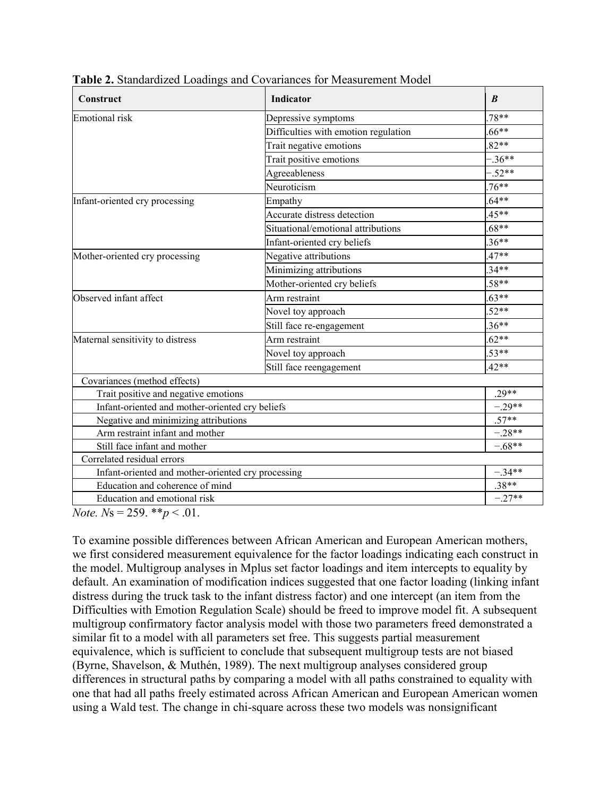| Construct                                          | Indicator                            | $\boldsymbol{B}$ |
|----------------------------------------------------|--------------------------------------|------------------|
| Emotional risk                                     | Depressive symptoms                  | 78**             |
|                                                    | Difficulties with emotion regulation | $66***$          |
|                                                    | Trait negative emotions              | 82**             |
|                                                    | Trait positive emotions              | $-36**$          |
|                                                    | Agreeableness                        | $-0.52**$        |
|                                                    | Neuroticism                          | $.76***$         |
| Infant-oriented cry processing                     | Empathy                              | 64**             |
|                                                    | Accurate distress detection          | $.45**$          |
|                                                    | Situational/emotional attributions   | 68**             |
|                                                    | Infant-oriented cry beliefs          | $36**$           |
| Mother-oriented cry processing                     | Negative attributions                | 47**             |
|                                                    | Minimizing attributions              | $34**$           |
|                                                    | Mother-oriented cry beliefs          | 58**             |
| Observed infant affect                             | Arm restraint                        | $.63**$          |
|                                                    | Novel toy approach                   | $52**$           |
|                                                    | Still face re-engagement             | $36**$           |
| Maternal sensitivity to distress                   | Arm restraint                        | $62**$           |
|                                                    | Novel toy approach                   | 53**             |
|                                                    | Still face reengagement              | $.42**$          |
| Covariances (method effects)                       |                                      |                  |
| Trait positive and negative emotions               | $.29**$                              |                  |
| Infant-oriented and mother-oriented cry beliefs    | $-.29**$                             |                  |
| Negative and minimizing attributions               | $.57**$                              |                  |
| Arm restraint infant and mother                    | $-.28**$                             |                  |
| Still face infant and mother                       | $-.68**$                             |                  |
| Correlated residual errors                         |                                      |                  |
| Infant-oriented and mother-oriented cry processing | $-.34**$                             |                  |
| Education and coherence of mind                    | $.38**$                              |                  |
| Education and emotional risk                       |                                      | $-.27**$         |

**Table 2.** Standardized Loadings and Covariances for Measurement Model

*Note.*  $N_s = 259$ . \*\* $p < .01$ .

To examine possible differences between African American and European American mothers, we first considered measurement equivalence for the factor loadings indicating each construct in the model. Multigroup analyses in Mplus set factor loadings and item intercepts to equality by default. An examination of modification indices suggested that one factor loading (linking infant distress during the truck task to the infant distress factor) and one intercept (an item from the Difficulties with Emotion Regulation Scale) should be freed to improve model fit. A subsequent multigroup confirmatory factor analysis model with those two parameters freed demonstrated a similar fit to a model with all parameters set free. This suggests partial measurement equivalence, which is sufficient to conclude that subsequent multigroup tests are not biased (Byrne, Shavelson, & Muthén, 1989). The next multigroup analyses considered group differences in structural paths by comparing a model with all paths constrained to equality with one that had all paths freely estimated across African American and European American women using a Wald test. The change in chi‐square across these two models was nonsignificant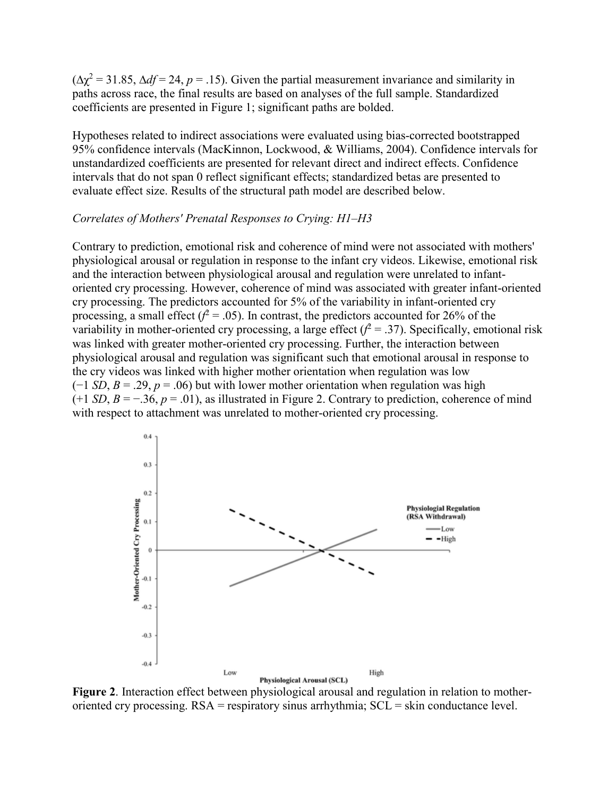$(\Delta \chi^2 = 31.85, \Delta df = 24, p = .15)$ . Given the partial measurement invariance and similarity in paths across race, the final results are based on analyses of the full sample. Standardized coefficients are presented in Figure 1; significant paths are bolded.

Hypotheses related to indirect associations were evaluated using bias‐corrected bootstrapped 95% confidence intervals (MacKinnon, Lockwood, & Williams, 2004). Confidence intervals for unstandardized coefficients are presented for relevant direct and indirect effects. Confidence intervals that do not span 0 reflect significant effects; standardized betas are presented to evaluate effect size. Results of the structural path model are described below.

### *Correlates of Mothers' Prenatal Responses to Crying: H1–H3*

Contrary to prediction, emotional risk and coherence of mind were not associated with mothers' physiological arousal or regulation in response to the infant cry videos. Likewise, emotional risk and the interaction between physiological arousal and regulation were unrelated to infant‐ oriented cry processing. However, coherence of mind was associated with greater infant‐oriented cry processing. The predictors accounted for 5% of the variability in infant‐oriented cry processing, a small effect  $(f^2 = .05)$ . In contrast, the predictors accounted for 26% of the variability in mother-oriented cry processing, a large effect  $(f^2 = .37)$ . Specifically, emotional risk was linked with greater mother-oriented cry processing. Further, the interaction between physiological arousal and regulation was significant such that emotional arousal in response to the cry videos was linked with higher mother orientation when regulation was low  $(-1 SD, B = .29, p = .06)$  but with lower mother orientation when regulation was high  $(+1 SD, B = -.36, p = .01)$ , as illustrated in Figure 2. Contrary to prediction, coherence of mind with respect to attachment was unrelated to mother-oriented cry processing.



**Figure 2**. Interaction effect between physiological arousal and regulation in relation to mother‐ oriented cry processing. RSA = respiratory sinus arrhythmia; SCL = skin conductance level.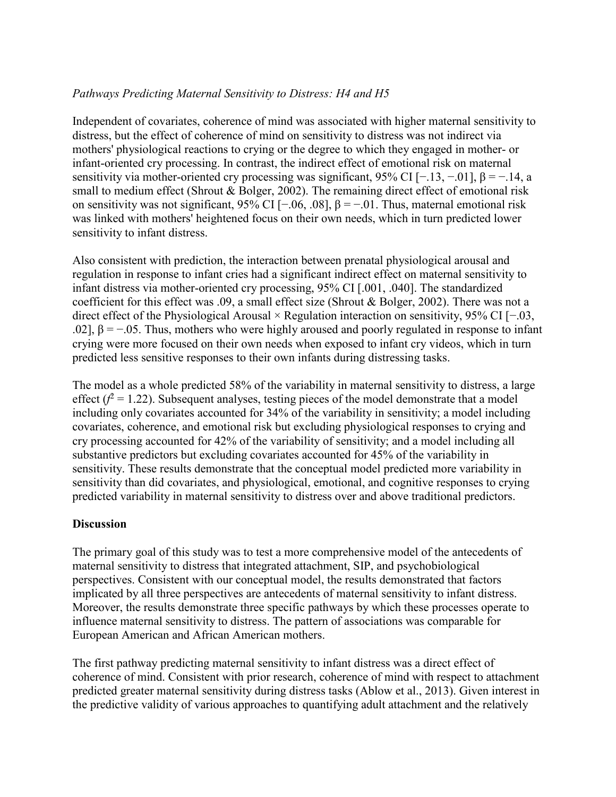# *Pathways Predicting Maternal Sensitivity to Distress: H4 and H5*

Independent of covariates, coherence of mind was associated with higher maternal sensitivity to distress, but the effect of coherence of mind on sensitivity to distress was not indirect via mothers' physiological reactions to crying or the degree to which they engaged in mother‐ or infant-oriented cry processing. In contrast, the indirect effect of emotional risk on maternal sensitivity via mother-oriented cry processing was significant, 95% CI [−.13, −.01],  $\beta$  = −.14, a small to medium effect (Shrout & Bolger, 2002). The remaining direct effect of emotional risk on sensitivity was not significant, 95% CI [−.06, .08],  $\beta$  = −.01. Thus, maternal emotional risk was linked with mothers' heightened focus on their own needs, which in turn predicted lower sensitivity to infant distress.

Also consistent with prediction, the interaction between prenatal physiological arousal and regulation in response to infant cries had a significant indirect effect on maternal sensitivity to infant distress via mother-oriented cry processing, 95% CI [.001, .040]. The standardized coefficient for this effect was .09, a small effect size (Shrout & Bolger, 2002). There was not a direct effect of the Physiological Arousal × Regulation interaction on sensitivity, 95% CI [−.03, .02],  $\beta = -0.05$ . Thus, mothers who were highly aroused and poorly regulated in response to infant crying were more focused on their own needs when exposed to infant cry videos, which in turn predicted less sensitive responses to their own infants during distressing tasks.

The model as a whole predicted 58% of the variability in maternal sensitivity to distress, a large effect  $(f^2 = 1.22)$ . Subsequent analyses, testing pieces of the model demonstrate that a model including only covariates accounted for 34% of the variability in sensitivity; a model including covariates, coherence, and emotional risk but excluding physiological responses to crying and cry processing accounted for 42% of the variability of sensitivity; and a model including all substantive predictors but excluding covariates accounted for 45% of the variability in sensitivity. These results demonstrate that the conceptual model predicted more variability in sensitivity than did covariates, and physiological, emotional, and cognitive responses to crying predicted variability in maternal sensitivity to distress over and above traditional predictors.

## **Discussion**

The primary goal of this study was to test a more comprehensive model of the antecedents of maternal sensitivity to distress that integrated attachment, SIP, and psychobiological perspectives. Consistent with our conceptual model, the results demonstrated that factors implicated by all three perspectives are antecedents of maternal sensitivity to infant distress. Moreover, the results demonstrate three specific pathways by which these processes operate to influence maternal sensitivity to distress. The pattern of associations was comparable for European American and African American mothers.

The first pathway predicting maternal sensitivity to infant distress was a direct effect of coherence of mind. Consistent with prior research, coherence of mind with respect to attachment predicted greater maternal sensitivity during distress tasks (Ablow et al., 2013). Given interest in the predictive validity of various approaches to quantifying adult attachment and the relatively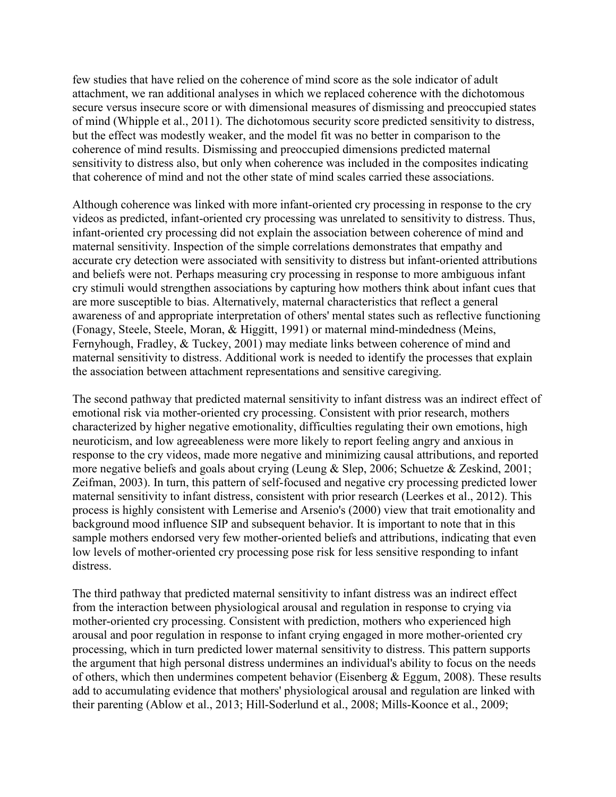few studies that have relied on the coherence of mind score as the sole indicator of adult attachment, we ran additional analyses in which we replaced coherence with the dichotomous secure versus insecure score or with dimensional measures of dismissing and preoccupied states of mind (Whipple et al., 2011). The dichotomous security score predicted sensitivity to distress, but the effect was modestly weaker, and the model fit was no better in comparison to the coherence of mind results. Dismissing and preoccupied dimensions predicted maternal sensitivity to distress also, but only when coherence was included in the composites indicating that coherence of mind and not the other state of mind scales carried these associations.

Although coherence was linked with more infant‐oriented cry processing in response to the cry videos as predicted, infant‐oriented cry processing was unrelated to sensitivity to distress. Thus, infant‐oriented cry processing did not explain the association between coherence of mind and maternal sensitivity. Inspection of the simple correlations demonstrates that empathy and accurate cry detection were associated with sensitivity to distress but infant-oriented attributions and beliefs were not. Perhaps measuring cry processing in response to more ambiguous infant cry stimuli would strengthen associations by capturing how mothers think about infant cues that are more susceptible to bias. Alternatively, maternal characteristics that reflect a general awareness of and appropriate interpretation of others' mental states such as reflective functioning (Fonagy, Steele, Steele, Moran, & Higgitt, 1991) or maternal mind‐mindedness (Meins, Fernyhough, Fradley, & Tuckey, 2001) may mediate links between coherence of mind and maternal sensitivity to distress. Additional work is needed to identify the processes that explain the association between attachment representations and sensitive caregiving.

The second pathway that predicted maternal sensitivity to infant distress was an indirect effect of emotional risk via mother-oriented cry processing. Consistent with prior research, mothers characterized by higher negative emotionality, difficulties regulating their own emotions, high neuroticism, and low agreeableness were more likely to report feeling angry and anxious in response to the cry videos, made more negative and minimizing causal attributions, and reported more negative beliefs and goals about crying (Leung & Slep, 2006; Schuetze & Zeskind, 2001; Zeifman, 2003). In turn, this pattern of self‐focused and negative cry processing predicted lower maternal sensitivity to infant distress, consistent with prior research (Leerkes et al., 2012). This process is highly consistent with Lemerise and Arsenio's (2000) view that trait emotionality and background mood influence SIP and subsequent behavior. It is important to note that in this sample mothers endorsed very few mother-oriented beliefs and attributions, indicating that even low levels of mother-oriented cry processing pose risk for less sensitive responding to infant distress.

The third pathway that predicted maternal sensitivity to infant distress was an indirect effect from the interaction between physiological arousal and regulation in response to crying via mother-oriented cry processing. Consistent with prediction, mothers who experienced high arousal and poor regulation in response to infant crying engaged in more mother‐oriented cry processing, which in turn predicted lower maternal sensitivity to distress. This pattern supports the argument that high personal distress undermines an individual's ability to focus on the needs of others, which then undermines competent behavior (Eisenberg & Eggum, 2008). These results add to accumulating evidence that mothers' physiological arousal and regulation are linked with their parenting (Ablow et al., 2013; Hill‐Soderlund et al., 2008; Mills‐Koonce et al., 2009;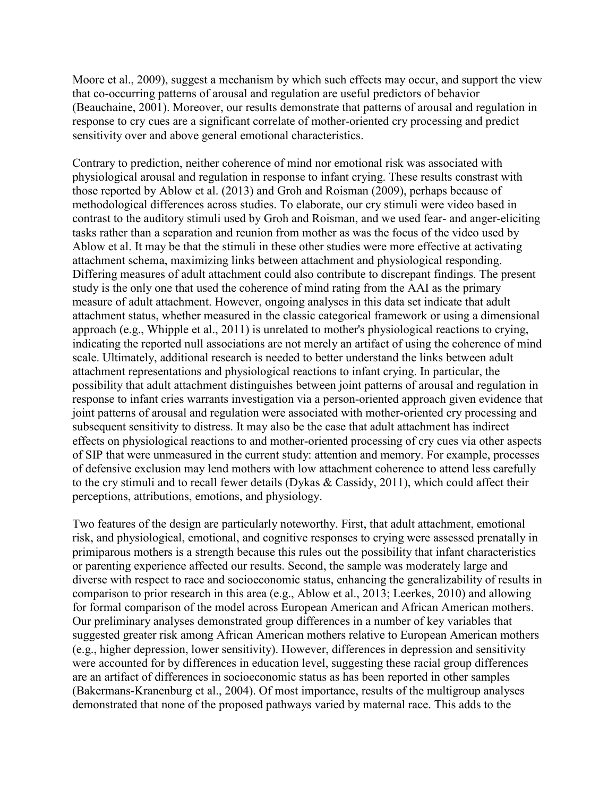Moore et al., 2009), suggest a mechanism by which such effects may occur, and support the view that co‐occurring patterns of arousal and regulation are useful predictors of behavior (Beauchaine, 2001). Moreover, our results demonstrate that patterns of arousal and regulation in response to cry cues are a significant correlate of mother‐oriented cry processing and predict sensitivity over and above general emotional characteristics.

Contrary to prediction, neither coherence of mind nor emotional risk was associated with physiological arousal and regulation in response to infant crying. These results constrast with those reported by Ablow et al. (2013) and Groh and Roisman (2009), perhaps because of methodological differences across studies. To elaborate, our cry stimuli were video based in contrast to the auditory stimuli used by Groh and Roisman, and we used fear- and anger-eliciting tasks rather than a separation and reunion from mother as was the focus of the video used by Ablow et al. It may be that the stimuli in these other studies were more effective at activating attachment schema, maximizing links between attachment and physiological responding. Differing measures of adult attachment could also contribute to discrepant findings. The present study is the only one that used the coherence of mind rating from the AAI as the primary measure of adult attachment. However, ongoing analyses in this data set indicate that adult attachment status, whether measured in the classic categorical framework or using a dimensional approach (e.g., Whipple et al., 2011) is unrelated to mother's physiological reactions to crying, indicating the reported null associations are not merely an artifact of using the coherence of mind scale. Ultimately, additional research is needed to better understand the links between adult attachment representations and physiological reactions to infant crying. In particular, the possibility that adult attachment distinguishes between joint patterns of arousal and regulation in response to infant cries warrants investigation via a person-oriented approach given evidence that joint patterns of arousal and regulation were associated with mother-oriented cry processing and subsequent sensitivity to distress. It may also be the case that adult attachment has indirect effects on physiological reactions to and mother‐oriented processing of cry cues via other aspects of SIP that were unmeasured in the current study: attention and memory. For example, processes of defensive exclusion may lend mothers with low attachment coherence to attend less carefully to the cry stimuli and to recall fewer details (Dykas & Cassidy, 2011), which could affect their perceptions, attributions, emotions, and physiology.

Two features of the design are particularly noteworthy. First, that adult attachment, emotional risk, and physiological, emotional, and cognitive responses to crying were assessed prenatally in primiparous mothers is a strength because this rules out the possibility that infant characteristics or parenting experience affected our results. Second, the sample was moderately large and diverse with respect to race and socioeconomic status, enhancing the generalizability of results in comparison to prior research in this area (e.g., Ablow et al., 2013; Leerkes, 2010) and allowing for formal comparison of the model across European American and African American mothers. Our preliminary analyses demonstrated group differences in a number of key variables that suggested greater risk among African American mothers relative to European American mothers (e.g., higher depression, lower sensitivity). However, differences in depression and sensitivity were accounted for by differences in education level, suggesting these racial group differences are an artifact of differences in socioeconomic status as has been reported in other samples (Bakermans‐Kranenburg et al., 2004). Of most importance, results of the multigroup analyses demonstrated that none of the proposed pathways varied by maternal race. This adds to the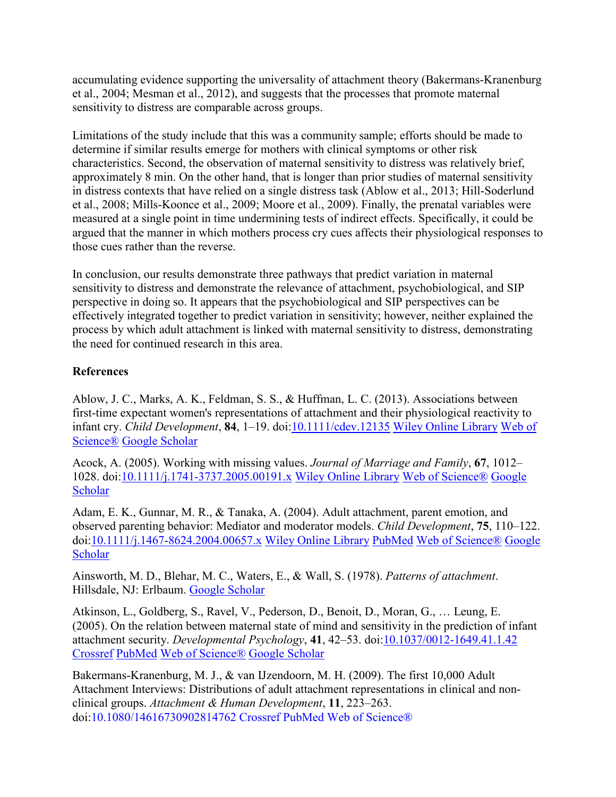accumulating evidence supporting the universality of attachment theory (Bakermans‐Kranenburg et al., 2004; Mesman et al., 2012), and suggests that the processes that promote maternal sensitivity to distress are comparable across groups.

Limitations of the study include that this was a community sample; efforts should be made to determine if similar results emerge for mothers with clinical symptoms or other risk characteristics. Second, the observation of maternal sensitivity to distress was relatively brief, approximately 8 min. On the other hand, that is longer than prior studies of maternal sensitivity in distress contexts that have relied on a single distress task (Ablow et al., 2013; Hill‐Soderlund et al., 2008; Mills‐Koonce et al., 2009; Moore et al., 2009). Finally, the prenatal variables were measured at a single point in time undermining tests of indirect effects. Specifically, it could be argued that the manner in which mothers process cry cues affects their physiological responses to those cues rather than the reverse.

In conclusion, our results demonstrate three pathways that predict variation in maternal sensitivity to distress and demonstrate the relevance of attachment, psychobiological, and SIP perspective in doing so. It appears that the psychobiological and SIP perspectives can be effectively integrated together to predict variation in sensitivity; however, neither explained the process by which adult attachment is linked with maternal sensitivity to distress, demonstrating the need for continued research in this area.

# **References**

Ablow, J. C., Marks, A. K., Feldman, S. S., & Huffman, L. C. (2013). Associations between first-time expectant women's representations of attachment and their physiological reactivity to infant cry. *Child Development*, **84**, 1–19. doi[:10.1111/cdev.12135](https://doi.org/10.1111/cdev.12135) [Wiley Online Library](https://onlinelibrary.wiley.com/doi/10.1111/cdev.12135) [Web of](https://onlinelibrary.wiley.com/servlet/linkout?suffix=null&dbid=128&doi=10.1111%2Fcdev.12288&key=000321700600019)  [Science®](https://onlinelibrary.wiley.com/servlet/linkout?suffix=null&dbid=128&doi=10.1111%2Fcdev.12288&key=000321700600019) [Google Scholar](http://scholar.google.com/scholar_lookup?hl=en&volume=Child+Development&publication_year=2013&pages=Ablow%2C+J.+C.%2C+Marks%2C+A.+K.%2C+Feldman%2C+S.+S.%2C+%26+Huffman%2C+L.+C.+%282013%29.+Associations+between+first%E2%80%90time+expectant+women%27s+representations+of+attachment+and+their+physiological+reactivity+to+infant+cry.+Child+Development%2C+84%2C+1%E2%80%9319.+doi%3A10.1111%2Fcdev.12135&journal=1-19&issue=84&author=J.+C.+Ablowauthor=A.+K.+Marksauthor=S.+S.+Feldmanauthor=L.+C.+Huffman&title=Associations+between+first%E2%80%90time+expectant+women%27s+representations+of+attachment+and+their+physiological+reactivity+to+infant+cry&)

Acock, A. (2005). Working with missing values. *Journal of Marriage and Family*, **67**, 1012– 1028. doi:10.1111/j.1741-3737.2005.00191.x [Wiley Online Library](https://onlinelibrary.wiley.com/doi/10.1111/j.1741-3737.2005.00191.x) [Web of Science®](https://onlinelibrary.wiley.com/servlet/linkout?suffix=null&dbid=128&doi=10.1111%2Fcdev.12288&key=000232608700018) Google [Scholar](http://scholar.google.com/scholar_lookup?hl=en&volume=Journal+of+Marriage+and+Family&publication_year=2005&pages=Acock%2C+A.+%282005%29.+Working+with+missing+values.+Journal+of+Marriage+and+Family%2C+67%2C+1012%E2%80%931028.+doi%3A10.1111%2Fj.1741%E2%80%903737.2005.00191.x&journal=1012-1028&issue=67&author=A.+Acock&title=Working+with+missing+values&)

Adam, E. K., Gunnar, M. R., & Tanaka, A. (2004). Adult attachment, parent emotion, and observed parenting behavior: Mediator and moderator models. *Child Development*, **75**, 110–122. doi:[10.1111/j.1467‐8624.2004.00657.x](https://doi.org/10.1111/j.1467-8624.2004.00657.x) [Wiley Online Library](https://onlinelibrary.wiley.com/doi/10.1111/j.1467-8624.2004.00657.x) [PubMed](https://onlinelibrary.wiley.com/servlet/linkout?suffix=null&dbid=8&doi=10.1111%2Fcdev.12288&key=15015678) [Web of Science®](https://onlinelibrary.wiley.com/servlet/linkout?suffix=null&dbid=128&doi=10.1111%2Fcdev.12288&key=000189146400007) [Google](http://scholar.google.com/scholar_lookup?hl=en&volume=Child+Development&publication_year=2004&pages=Adam%2C+E.+K.%2C+Gunnar%2C+M.+R.%2C+%26+Tanaka%2C+A.+%282004%29.+Adult+attachment%2C+parent+emotion%2C+and+observed+parenting+behavior%3A+Mediator+and+moderator+models.+Child+Development%2C+75%2C+110%E2%80%93122.+doi%3A10.1111%2Fj.1467%E2%80%908624.2004.00657.x&journal=110-122&issue=75&author=E.+K.+Adamauthor=M.+R.+Gunnarauthor=A.+Tanaka&title=Adult+attachment%2C+parent+emotion%2C+and+observed+parenting+behavior%3A+Mediator+and+moderator+models&)  **[Scholar](http://scholar.google.com/scholar_lookup?hl=en&volume=Child+Development&publication_year=2004&pages=Adam%2C+E.+K.%2C+Gunnar%2C+M.+R.%2C+%26+Tanaka%2C+A.+%282004%29.+Adult+attachment%2C+parent+emotion%2C+and+observed+parenting+behavior%3A+Mediator+and+moderator+models.+Child+Development%2C+75%2C+110%E2%80%93122.+doi%3A10.1111%2Fj.1467%E2%80%908624.2004.00657.x&journal=110-122&issue=75&author=E.+K.+Adamauthor=M.+R.+Gunnarauthor=A.+Tanaka&title=Adult+attachment%2C+parent+emotion%2C+and+observed+parenting+behavior%3A+Mediator+and+moderator+models&)** 

Ainsworth, M. D., Blehar, M. C., Waters, E., & Wall, S. (1978). *Patterns of attachment*. Hillsdale, NJ: Erlbaum. [Google Scholar](http://scholar.google.com/scholar_lookup?hl=en&volume=Child+Development&publication_year=1978&pages=Ainsworth%2C+M.+D.%2C+Blehar%2C+M.+C.%2C+Waters%2C+E.%2C+%26+Wall%2C+S.+%281978%29.+Patterns+of+attachment.+Hillsdale%2C+NJ%3A+Erlbaum.&journal=110-122&issue=75&author=M.+D.+Ainsworthauthor=M.+C.+Bleharauthor=E.+Watersauthor=S.+Wall&title=Patterns+of+attachment&)

Atkinson, L., Goldberg, S., Ravel, V., Pederson, D., Benoit, D., Moran, G., … Leung, E. (2005). On the relation between maternal state of mind and sensitivity in the prediction of infant attachment security. *Developmental Psychology*, **41**, 42–53. doi:[10.1037/0012‐1649.41.1.42](https://doi.org/10.1037/0012-1649.41.1.42) [Crossref](https://onlinelibrary.wiley.com/servlet/linkout?suffix=null&dbid=16&doi=10.1111%2Fcdev.12288&key=10.1037%2F0012%E2%80%901649.41.1.42) [PubMed](https://onlinelibrary.wiley.com/servlet/linkout?suffix=null&dbid=8&doi=10.1111%2Fcdev.12288&key=15656736) [Web of Science®](https://onlinelibrary.wiley.com/servlet/linkout?suffix=null&dbid=128&doi=10.1111%2Fcdev.12288&key=000226298400004) [Google Scholar](http://scholar.google.com/scholar_lookup?hl=en&volume=Developmental+Psychology&publication_year=2005&pages=Atkinson%2C+L.%2C+Goldberg%2C+S.%2C+Ravel%2C+V.%2C+Pederson%2C+D.%2C+Benoit%2C+D.%2C+Moran%2C+G.%2C+%E2%80%A6+Leung%2C+E.+%282005%29.+On+the+relation+between+maternal+state+of+mind+and+sensitivity+in+the+prediction+of+infant+attachment+security.+Developmental+Psychology%2C+41%2C+42%E2%80%9353.+doi%3A10.1037%2F0012%E2%80%901649.41.1.42&journal=42-53&issue=41&author=L.+Atkinsonauthor=S.+Goldbergauthor=V.+Ravelauthor=D.+Pedersonauthor=D.+Benoitauthor=G.+Moranauthor=E.+Leung&title=On+the+relation+between+maternal+state+of+mind+and+sensitivity+in+the+prediction+of+infant+attachment+security&)

Bakermans‐Kranenburg, M. J., & van IJzendoorn, M. H. (2009). The first 10,000 Adult Attachment Interviews: Distributions of adult attachment representations in clinical and non‐ clinical groups. *Attachment & Human Development*, **11**, 223–263. doi[:10.1080/14616730902814762](https://doi.org/10.1080/14616730902814762) [Crossref](https://onlinelibrary.wiley.com/servlet/linkout?suffix=null&dbid=16&doi=10.1111%2Fcdev.12288&key=10.1080%2F14616730902814762) [PubMed](https://onlinelibrary.wiley.com/servlet/linkout?suffix=null&dbid=8&doi=10.1111%2Fcdev.12288&key=19455453) [Web of Science®](https://onlinelibrary.wiley.com/servlet/linkout?suffix=null&dbid=128&doi=10.1111%2Fcdev.12288&key=000266203900001)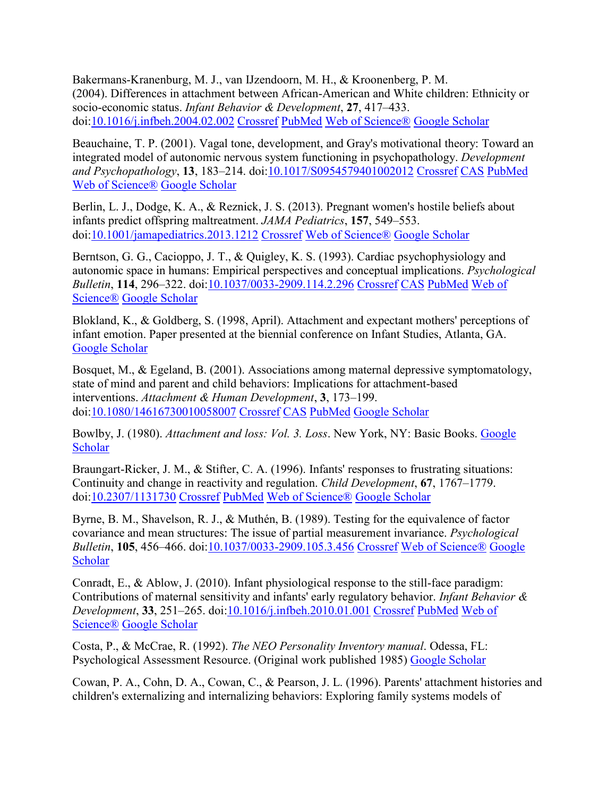Bakermans‐Kranenburg, M. J., van IJzendoorn, M. H., & Kroonenberg, P. M. (2004). Differences in attachment between African‐American and White children: Ethnicity or socio‐economic status. *Infant Behavior & Development*, **27**, 417–433. doi:[10.1016/j.infbeh.2004.02.002](https://doi.org/10.1016/j.infbeh.2004.02.002) [Crossref](https://onlinelibrary.wiley.com/servlet/linkout?suffix=null&dbid=16&doi=10.1111%2Fcdev.12288&key=10.1016%2Fj.infbeh.2004.02.002) [PubMed](https://onlinelibrary.wiley.com/servlet/linkout?suffix=null&dbid=8&doi=10.1111%2Fcdev.12288&key=Can%27t+run+EXECUTE.+Wrong+input+line) [Web of Science®](https://onlinelibrary.wiley.com/servlet/linkout?suffix=null&dbid=128&doi=10.1111%2Fcdev.12288&key=000224490300010) [Google Scholar](http://scholar.google.com/scholar_lookup?hl=en&volume=Infant+Behavior+%26+Development&publication_year=2004&pages=Bakermans%E2%80%90Kranenburg%2C+M.+J.%2C+van+IJzendoorn%2C+M.+H.%2C+%26+Kroonenberg%2C+P.+M.+%282004%29.+Differences+in+attachment+between+African%E2%80%90American+and+White+children%3A+Ethnicity+or+socio%E2%80%90economic+status.+Infant+Behavior+%26+Development%2C+27%2C+417%E2%80%93433.+doi%3A10.1016%2Fj.infbeh.2004.02.002&journal=417-433&issue=27&author=M.+J.+Bakermans%E2%80%90Kranenburgauthor=M.+H.+van+IJzendoornauthor=P.+M.+Kroonenberg&title=Differences+in+attachment+between+African%E2%80%90American+and+White+children%3A+Ethnicity+or+socio%E2%80%90economic+status&)

Beauchaine, T. P. (2001). Vagal tone, development, and Gray's motivational theory: Toward an integrated model of autonomic nervous system functioning in psychopathology. *Development and Psychopathology*, **13**, 183–214. doi[:10.1017/S0954579401002012](https://doi.org/10.1017/S0954579401002012) [Crossref](https://onlinelibrary.wiley.com/servlet/linkout?suffix=null&dbid=16&doi=10.1111%2Fcdev.12288&key=10.1017%2FS0954579401002012) [CAS](https://onlinelibrary.wiley.com/servlet/linkout?suffix=null&dbid=32&doi=10.1111%2Fcdev.12288&key=1%3ASTN%3A280%3ADC%252BD3MzhvVShsQ%253D%253D) [PubMed](https://onlinelibrary.wiley.com/servlet/linkout?suffix=null&dbid=8&doi=10.1111%2Fcdev.12288&key=11393643) [Web of Science®](https://onlinelibrary.wiley.com/servlet/linkout?suffix=null&dbid=128&doi=10.1111%2Fcdev.12288&key=000168805500001) [Google Scholar](http://scholar.google.com/scholar_lookup?hl=en&volume=Development+and+Psychopathology&publication_year=2001&pages=Beauchaine%2C+T.+P.+%282001%29.+Vagal+tone%2C+development%2C+and+Gray%27s+motivational+theory%3A+Toward+an+integrated+model+of+autonomic+nervous+system+functioning+in+psychopathology.+Development+and+Psychopathology%2C+13%2C+183%E2%80%93214.+doi%3A10.1017%2FS0954579401002012&journal=183-214&issue=13&author=T.+P.+Beauchaine&title=Vagal+tone%2C+development%2C+and+Gray%27s+motivational+theory%3A+Toward+an+integrated+model+of+autonomic+nervous+system+functioning+in+psychopathology&)

Berlin, L. J., Dodge, K. A., & Reznick, J. S. (2013). Pregnant women's hostile beliefs about infants predict offspring maltreatment. *JAMA Pediatrics*, **157**, 549–553. doi:[10.1001/jamapediatrics.2013.1212](https://doi.org/10.1001/jamapediatrics.2013.1212) [Crossref](https://onlinelibrary.wiley.com/servlet/linkout?suffix=null&dbid=16&doi=10.1111%2Fcdev.12288&key=10.1001%2Fjamapediatrics.2013.1212) [Web of Science®](https://onlinelibrary.wiley.com/servlet/linkout?suffix=null&dbid=128&doi=10.1111%2Fcdev.12288&key=000319829700010) [Google Scholar](http://scholar.google.com/scholar_lookup?hl=en&volume=JAMA+Pediatrics&publication_year=2013&pages=Berlin%2C+L.+J.%2C+Dodge%2C+K.+A.%2C+%26+Reznick%2C+J.+S.+%282013%29.+Pregnant+women%27s+hostile+beliefs+about+infants+predict+offspring+maltreatment.+JAMA+Pediatrics%2C+157%2C+549%E2%80%93553.+doi%3A10.1001%2Fjamapediatrics.2013.1212&journal=549-553&issue=157&author=L.+J.+Berlinauthor=K.+A.+Dodgeauthor=J.+S.+Reznick&title=Pregnant+women%27s+hostile+beliefs+about+infants+predict+offspring+maltreatment&)

Berntson, G. G., Cacioppo, J. T., & Quigley, K. S. (1993). Cardiac psychophysiology and autonomic space in humans: Empirical perspectives and conceptual implications. *Psychological Bulletin*, **114**, 296–322. doi:[10.1037/0033‐2909.114.2.296](https://doi.org/10.1037/0033-2909.114.2.296) [Crossref](https://onlinelibrary.wiley.com/servlet/linkout?suffix=null&dbid=16&doi=10.1111%2Fcdev.12288&key=10.1037%2F0033%E2%80%902909.114.2.296) [CAS](https://onlinelibrary.wiley.com/servlet/linkout?suffix=null&dbid=32&doi=10.1111%2Fcdev.12288&key=1%3ASTN%3A280%3ADyaK2c%252Fit1OmtA%253D%253D) [PubMed](https://onlinelibrary.wiley.com/servlet/linkout?suffix=null&dbid=8&doi=10.1111%2Fcdev.12288&key=8416034) [Web of](https://onlinelibrary.wiley.com/servlet/linkout?suffix=null&dbid=128&doi=10.1111%2Fcdev.12288&key=A1993LX35200006)  [Science®](https://onlinelibrary.wiley.com/servlet/linkout?suffix=null&dbid=128&doi=10.1111%2Fcdev.12288&key=A1993LX35200006) [Google Scholar](http://scholar.google.com/scholar_lookup?hl=en&volume=Psychological+Bulletin&publication_year=1993&pages=Berntson%2C+G.+G.%2C+Cacioppo%2C+J.+T.%2C+%26+Quigley%2C+K.+S.+%281993%29.+Cardiac+psychophysiology+and+autonomic+space+in+humans%3A+Empirical+perspectives+and+conceptual+implications.+Psychological+Bulletin%2C+114%2C+296%E2%80%93322.+doi%3A10.1037%2F0033%E2%80%902909.114.2.296&journal=296-322&issue=114&author=G.+G.+Berntsonauthor=J.+T.+Cacioppoauthor=K.+S.+Quigley&title=Cardiac+psychophysiology+and+autonomic+space+in+humans%3A+Empirical+perspectives+and+conceptual+implications&)

Blokland, K., & Goldberg, S. (1998, April). Attachment and expectant mothers' perceptions of infant emotion. Paper presented at the biennial conference on Infant Studies, Atlanta, GA. [Google Scholar](http://scholar.google.com/scholar?hl=en&q=Blokland%2C+K.%2C+%26+Goldberg%2C+S.+%281998%2C+April%29.+Attachment+and+expectant+mothers%27+perceptions+of+infant+emotion.+Paper+presented+at+the+biennial+conference+on+Infant+Studies%2C+Atlanta%2C+GA.)

Bosquet, M., & Egeland, B. (2001). Associations among maternal depressive symptomatology, state of mind and parent and child behaviors: Implications for attachment-based interventions. *Attachment & Human Development*, **3**, 173–199. doi[:10.1080/14616730010058007](https://doi.org/10.1080/14616730010058007) [Crossref](https://onlinelibrary.wiley.com/servlet/linkout?suffix=null&dbid=16&doi=10.1111%2Fcdev.12288&key=10.1080%2F14616730010058007) [CAS](https://onlinelibrary.wiley.com/servlet/linkout?suffix=null&dbid=32&doi=10.1111%2Fcdev.12288&key=1%3ASTN%3A280%3ADC%252BD3MnmtlSntQ%253D%253D) [PubMed](https://onlinelibrary.wiley.com/servlet/linkout?suffix=null&dbid=8&doi=10.1111%2Fcdev.12288&key=11708736) [Google Scholar](http://scholar.google.com/scholar_lookup?hl=en&volume=Attachment+%26+Human+Development&publication_year=2001&pages=Bosquet%2C+M.%2C+%26+Egeland%2C+B.+%282001%29.+Associations+among+maternal+depressive+symptomatology%2C+state+of+mind+and+parent+and+child+behaviors%3A+Implications+for+attachment%E2%80%90based+interventions.+Attachment+%26+Human+Development%2C+3%2C+173%E2%80%93199.+doi%3A10.1080%2F14616730010058007&journal=173-199&issue=3&author=M.+Bosquetauthor=B.+Egeland&title=Associations+among+maternal+depressive+symptomatology%2C+state+of+mind+and+parent+and+child+behaviors%3A+Implications+for+attachment%E2%80%90based+interventions&)

Bowlby, J. (1980). *Attachment and loss: Vol. 3. Loss*. New York, NY: Basic Books. [Google](http://scholar.google.com/scholar_lookup?hl=en&volume=Attachment+%26+Human+Development&publication_year=1980&pages=Bowlby%2C+J.+%281980%29.+Attachment+and+loss%3A+Vol.+3.+Loss.+New+York%2C+NY%3A+Basic+Books.&journal=173-199&issue=3&author=J.+Bowlby&title=Attachment+and+loss%3A+Vol.+3.+Loss&)  **[Scholar](http://scholar.google.com/scholar_lookup?hl=en&volume=Attachment+%26+Human+Development&publication_year=1980&pages=Bowlby%2C+J.+%281980%29.+Attachment+and+loss%3A+Vol.+3.+Loss.+New+York%2C+NY%3A+Basic+Books.&journal=173-199&issue=3&author=J.+Bowlby&title=Attachment+and+loss%3A+Vol.+3.+Loss&)** 

Braungart-Ricker, J. M., & Stifter, C. A. (1996). Infants' responses to frustrating situations: Continuity and change in reactivity and regulation. *Child Development*, **67**, 1767–1779. doi[:10.2307/1131730](https://doi.org/10.2307/1131730) [Crossref](https://onlinelibrary.wiley.com/servlet/linkout?suffix=null&dbid=16&doi=10.1111%2Fcdev.12288&key=10.2307%2F1131730) [PubMed](https://onlinelibrary.wiley.com/servlet/linkout?suffix=null&dbid=8&doi=10.1111%2Fcdev.12288&key=8890506) [Web of Science®](https://onlinelibrary.wiley.com/servlet/linkout?suffix=null&dbid=128&doi=10.1111%2Fcdev.12288&key=A1996VP34400030) [Google Scholar](http://scholar.google.com/scholar_lookup?hl=en&volume=Child+Development&publication_year=1996&pages=Braungart%E2%80%90Ricker%2C+J.+M.%2C+%26+Stifter%2C+C.+A.+%281996%29.+Infants%27+responses+to+frustrating+situations%3A+Continuity+and+change+in+reactivity+and+regulation.+Child+Development%2C+67%2C+1767%E2%80%931779.+doi%3A10.2307%2F1131730&journal=1767-1779&issue=67&author=J.+M.+Braungart%E2%80%90Rickerauthor=C.+A.+Stifter&title=Infants%27+responses+to+frustrating+situations%3A+Continuity+and+change+in+reactivity+and+regulation&)

Byrne, B. M., Shavelson, R. J., & Muthén, B. (1989). Testing for the equivalence of factor covariance and mean structures: The issue of partial measurement invariance. *Psychological Bulletin*, **105**, 456–466. doi:[10.1037/0033‐2909.105.3.456](https://doi.org/10.1037/0033-2909.105.3.456) [Crossref](https://onlinelibrary.wiley.com/servlet/linkout?suffix=null&dbid=16&doi=10.1111%2Fcdev.12288&key=10.1037%2F0033%E2%80%902909.105.3.456) [Web of Science®](https://onlinelibrary.wiley.com/servlet/linkout?suffix=null&dbid=128&doi=10.1111%2Fcdev.12288&key=A1989U589700010) [Google](http://scholar.google.com/scholar_lookup?hl=en&volume=Psychological+Bulletin&publication_year=1989&pages=Byrne%2C+B.+M.%2C+Shavelson%2C+R.+J.%2C+%26+Muth%C3%A9n%2C+B.+%281989%29.+Testing+for+the+equivalence+of+factor+covariance+and+mean+structures%3A+The+issue+of+partial+measurement+invariance.+Psychological+Bulletin%2C+105%2C+456%E2%80%93466.+doi%3A10.1037%2F0033%E2%80%902909.105.3.456&journal=456-466&issue=105&author=B.+M.+Byrneauthor=R.+J.+Shavelsonauthor=B.+Muth%C3%A9n&title=Testing+for+the+equivalence+of+factor+covariance+and+mean+structures%3A+The+issue+of+partial+measurement+invariance&)  [Scholar](http://scholar.google.com/scholar_lookup?hl=en&volume=Psychological+Bulletin&publication_year=1989&pages=Byrne%2C+B.+M.%2C+Shavelson%2C+R.+J.%2C+%26+Muth%C3%A9n%2C+B.+%281989%29.+Testing+for+the+equivalence+of+factor+covariance+and+mean+structures%3A+The+issue+of+partial+measurement+invariance.+Psychological+Bulletin%2C+105%2C+456%E2%80%93466.+doi%3A10.1037%2F0033%E2%80%902909.105.3.456&journal=456-466&issue=105&author=B.+M.+Byrneauthor=R.+J.+Shavelsonauthor=B.+Muth%C3%A9n&title=Testing+for+the+equivalence+of+factor+covariance+and+mean+structures%3A+The+issue+of+partial+measurement+invariance&)

Conradt, E., & Ablow, J. (2010). Infant physiological response to the still‐face paradigm: Contributions of maternal sensitivity and infants' early regulatory behavior. *Infant Behavior & Development*, **33**, 251–265. doi:[10.1016/j.infbeh.2010.01.001](https://doi.org/10.1016/j.infbeh.2010.01.001) [Crossref](https://onlinelibrary.wiley.com/servlet/linkout?suffix=null&dbid=16&doi=10.1111%2Fcdev.12288&key=10.1016%2Fj.infbeh.2010.01.001) [PubMed](https://onlinelibrary.wiley.com/servlet/linkout?suffix=null&dbid=8&doi=10.1111%2Fcdev.12288&key=20207419) [Web of](https://onlinelibrary.wiley.com/servlet/linkout?suffix=null&dbid=128&doi=10.1111%2Fcdev.12288&key=000279080200001)  [Science®](https://onlinelibrary.wiley.com/servlet/linkout?suffix=null&dbid=128&doi=10.1111%2Fcdev.12288&key=000279080200001) [Google Scholar](http://scholar.google.com/scholar_lookup?hl=en&volume=Infant+Behavior+%26+Development&publication_year=2010&pages=Conradt%2C+E.%2C+%26+Ablow%2C+J.+%282010%29.+Infant+physiological+response+to+the+still%E2%80%90face+paradigm%3A+Contributions+of+maternal+sensitivity+and+infants%27+early+regulatory+behavior.+Infant+Behavior+%26+Development%2C+33%2C+251%E2%80%93265.+doi%3A10.1016%2Fj.infbeh.2010.01.001&journal=251-265&issue=33&author=E.+Conradtauthor=J.+Ablow&title=Infant+physiological+response+to+the+still%E2%80%90face+paradigm%3A+Contributions+of+maternal+sensitivity+and+infants%27+early+regulatory+behavior&)

Costa, P., & McCrae, R. (1992). *The NEO Personality Inventory manual*. Odessa, FL: Psychological Assessment Resource. (Original work published 1985) [Google Scholar](http://scholar.google.com/scholar_lookup?hl=en&volume=Infant+Behavior+%26+Development&publication_year=1992&pages=Costa%2C+P.%2C+%26+McCrae%2C+R.+%281992%29.+The+NEO+Personality+Inventory+manual.+Odessa%2C+FL%3A+Psychological+Assessment+Resource.+%28Original+work+published+1985%29&journal=251-265&issue=33&author=P.+Costaauthor=R.+McCrae&title=The+NEO+Personality+Inventory+manual&)

Cowan, P. A., Cohn, D. A., Cowan, C., & Pearson, J. L. (1996). Parents' attachment histories and children's externalizing and internalizing behaviors: Exploring family systems models of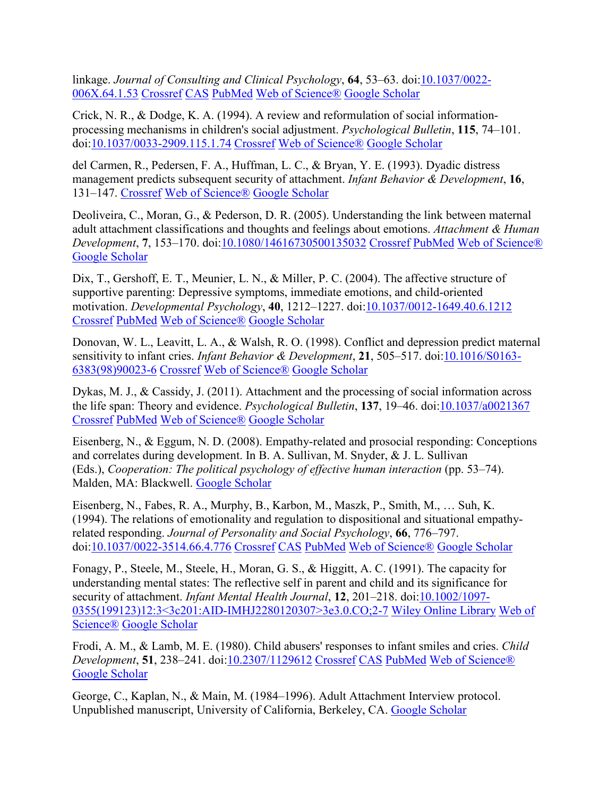linkage. *Journal of Consulting and Clinical Psychology*, **64**, 53–63. doi:[10.1037/0022‐](https://doi.org/10.1037/0022-006X.64.1.53) [006X.64.1.53](https://doi.org/10.1037/0022-006X.64.1.53) [Crossref](https://onlinelibrary.wiley.com/servlet/linkout?suffix=null&dbid=16&doi=10.1111%2Fcdev.12288&key=10.1037%2F0022%E2%80%90006X.64.1.53) [CAS](https://onlinelibrary.wiley.com/servlet/linkout?suffix=null&dbid=32&doi=10.1111%2Fcdev.12288&key=1%3ASTN%3A280%3ADyaK2s%252FmtlaitA%253D%253D) [PubMed](https://onlinelibrary.wiley.com/servlet/linkout?suffix=null&dbid=8&doi=10.1111%2Fcdev.12288&key=8907084) [Web of Science®](https://onlinelibrary.wiley.com/servlet/linkout?suffix=null&dbid=128&doi=10.1111%2Fcdev.12288&key=A1996TX43700006) [Google Scholar](http://scholar.google.com/scholar_lookup?hl=en&volume=Journal+of+Consulting+and+Clinical+Psychology&publication_year=1996&pages=Cowan%2C+P.+A.%2C+Cohn%2C+D.+A.%2C+Cowan%2C+C.%2C+%26+Pearson%2C+J.+L.+%281996%29.+Parents%27+attachment+histories+and+children%27s+externalizing+and+internalizing+behaviors%3A+Exploring+family+systems+models+of+linkage.+Journal+of+Consulting+and+Clinical+Psychology%2C+64%2C+53%E2%80%9363.+doi%3A10.1037%2F0022%E2%80%90006X.64.1.53&journal=53-63&issue=64&author=P.+A.+Cowanauthor=D.+A.+Cohnauthor=C.+Cowanauthor=J.+L.+Pearson&title=Parents%27+attachment+histories+and+children%27s+externalizing+and+internalizing+behaviors%3A+Exploring+family+systems+models+of+linkage&)

Crick, N. R., & Dodge, K. A. (1994). A review and reformulation of social information‐ processing mechanisms in children's social adjustment. *Psychological Bulletin*, **115**, 74–101. doi:[10.1037/0033‐2909.115.1.74](https://doi.org/10.1037/0033-2909.115.1.74) [Crossref](https://onlinelibrary.wiley.com/servlet/linkout?suffix=null&dbid=16&doi=10.1111%2Fcdev.12288&key=10.1037%2F0033%E2%80%902909.115.1.74) [Web of Science®](https://onlinelibrary.wiley.com/servlet/linkout?suffix=null&dbid=128&doi=10.1111%2Fcdev.12288&key=A1994MP55800007) [Google Scholar](http://scholar.google.com/scholar_lookup?hl=en&volume=Psychological+Bulletin&publication_year=1994&pages=Crick%2C+N.+R.%2C+%26+Dodge%2C+K.+A.+%281994%29.+A+review+and+reformulation+of+social+information%E2%80%90processing+mechanisms+in+children%27s+social+adjustment.+Psychological+Bulletin%2C+115%2C+74%E2%80%93101.+doi%3A10.1037%2F0033%E2%80%902909.115.1.74&journal=74-101&issue=115&author=N.+R.+Crickauthor=K.+A.+Dodge&title=A+review+and+reformulation+of+social+information%E2%80%90processing+mechanisms+in+children%27s+social+adjustment&)

del Carmen, R., Pedersen, F. A., Huffman, L. C., & Bryan, Y. E. (1993). Dyadic distress management predicts subsequent security of attachment. *Infant Behavior & Development*, **16**, 131–147. [Crossref](https://onlinelibrary.wiley.com/servlet/linkout?suffix=null&dbid=16&doi=10.1111%2Fcdev.12288&key=10.1016%2F0163-6383%2893%2980014-Y) [Web of Science®](https://onlinelibrary.wiley.com/servlet/linkout?suffix=null&dbid=128&doi=10.1111%2Fcdev.12288&key=A1993LQ45200001) [Google Scholar](http://scholar.google.com/scholar_lookup?hl=en&volume=Infant+Behavior+%26+Development&publication_year=1993&pages=del+Carmen%2C+R.%2C+Pedersen%2C+F.+A.%2C+Huffman%2C+L.+C.%2C+%26+Bryan%2C+Y.+E.+%281993%29.+Dyadic+distress+management+predicts+subsequent+security+of+attachment.+Infant+Behavior+%26+Development%2C+16%2C+131%E2%80%93147.&journal=131-147&issue=16&author=R.+Carmenauthor=F.+A.+Pedersenauthor=L.+C.+Huffmanauthor=Y.+E.+Bryan&title=Dyadic+distress+management+predicts+subsequent+security+of+attachment&)

Deoliveira, C., Moran, G., & Pederson, D. R. (2005). Understanding the link between maternal adult attachment classifications and thoughts and feelings about emotions. *Attachment & Human Development*, **7**, 153–170. doi[:10.1080/14616730500135032](https://doi.org/10.1080/14616730500135032) [Crossref](https://onlinelibrary.wiley.com/servlet/linkout?suffix=null&dbid=16&doi=10.1111%2Fcdev.12288&key=10.1080%2F14616730500135032) [PubMed](https://onlinelibrary.wiley.com/servlet/linkout?suffix=null&dbid=8&doi=10.1111%2Fcdev.12288&key=16096191) [Web of Science®](https://onlinelibrary.wiley.com/servlet/linkout?suffix=null&dbid=128&doi=10.1111%2Fcdev.12288&key=000230756700003) [Google Scholar](http://scholar.google.com/scholar_lookup?hl=en&volume=Attachment+%26+Human+Development&publication_year=2005&pages=Deoliveira%2C+C.%2C+Moran%2C+G.%2C+%26+Pederson%2C+D.+R.+%282005%29.+Understanding+the+link+between+maternal+adult+attachment+classifications+and+thoughts+and+feelings+about+emotions.+Attachment+%26+Human+Development%2C+7%2C+153%E2%80%93170.+doi%3A10.1080%2F14616730500135032&journal=153-170&issue=7&author=C.+Deoliveiraauthor=G.+Moranauthor=D.+R.+Pederson&title=Understanding+the+link+between+maternal+adult+attachment+classifications+and+thoughts+and+feelings+about+emotions&)

Dix, T., Gershoff, E. T., Meunier, L. N., & Miller, P. C. (2004). The affective structure of supportive parenting: Depressive symptoms, immediate emotions, and child-oriented motivation. *Developmental Psychology*, **40**, 1212–1227. doi:[10.1037/0012‐1649.40.6.1212](https://doi.org/10.1037/0012-1649.40.6.1212) [Crossref](https://onlinelibrary.wiley.com/servlet/linkout?suffix=null&dbid=16&doi=10.1111%2Fcdev.12288&key=10.1037%2F0012%E2%80%901649.40.6.1212) [PubMed](https://onlinelibrary.wiley.com/servlet/linkout?suffix=null&dbid=8&doi=10.1111%2Fcdev.12288&key=15535768) [Web of Science®](https://onlinelibrary.wiley.com/servlet/linkout?suffix=null&dbid=128&doi=10.1111%2Fcdev.12288&key=000224722800023) [Google Scholar](http://scholar.google.com/scholar_lookup?hl=en&volume=Developmental+Psychology&publication_year=2004&pages=Dix%2C+T.%2C+Gershoff%2C+E.+T.%2C+Meunier%2C+L.+N.%2C+%26+Miller%2C+P.+C.+%282004%29.+The+affective+structure+of+supportive+parenting%3A+Depressive+symptoms%2C+immediate+emotions%2C+and+child%E2%80%90oriented+motivation.+Developmental+Psychology%2C+40%2C+1212%E2%80%931227.+doi%3A10.1037%2F0012%E2%80%901649.40.6.1212&journal=1212-1227&issue=40&author=T.+Dixauthor=E.+T.+Gershoffauthor=L.+N.+Meunierauthor=P.+C.+Miller&title=The+affective+structure+of+supportive+parenting%3A+Depressive+symptoms%2C+immediate+emotions%2C+and+child%E2%80%90oriented+motivation&)

Donovan, W. L., Leavitt, L. A., & Walsh, R. O. (1998). Conflict and depression predict maternal sensitivity to infant cries. *Infant Behavior & Development*, **21**, 505–517. doi:[10.1016/S0163‐](https://doi.org/10.1016/S0163-6383(98)90023-6) [6383\(98\)90023‐6](https://doi.org/10.1016/S0163-6383(98)90023-6) [Crossref](https://onlinelibrary.wiley.com/servlet/linkout?suffix=null&dbid=16&doi=10.1111%2Fcdev.12288&key=10.1016%2FS0163%E2%80%906383%2898%2990023%E2%80%906) [Web of Science®](https://onlinelibrary.wiley.com/servlet/linkout?suffix=null&dbid=128&doi=10.1111%2Fcdev.12288&key=000075654900009) [Google Scholar](http://scholar.google.com/scholar_lookup?hl=en&volume=Infant+Behavior+%26+Development&publication_year=1998&pages=Donovan%2C+W.+L.%2C+Leavitt%2C+L.+A.%2C+%26+Walsh%2C+R.+O.+%281998%29.+Conflict+and+depression+predict+maternal+sensitivity+to+infant+cries.+Infant+Behavior+%26+Development%2C+21%2C+505%E2%80%93517.+doi%3A10.1016%2FS0163%E2%80%906383%2898%2990023%E2%80%906&journal=505-517&issue=21&author=W.+L.+Donovanauthor=L.+A.+Leavittauthor=R.+O.+Walsh&title=Conflict+and+depression+predict+maternal+sensitivity+to+infant+cries&)

Dykas, M. J., & Cassidy, J. (2011). Attachment and the processing of social information across the life span: Theory and evidence. *Psychological Bulletin*, **137**, 19–46. doi[:10.1037/a0021367](https://doi.org/10.1037/a0021367) [Crossref](https://onlinelibrary.wiley.com/servlet/linkout?suffix=null&dbid=16&doi=10.1111%2Fcdev.12288&key=10.1037%2Fa0021367) [PubMed](https://onlinelibrary.wiley.com/servlet/linkout?suffix=null&dbid=8&doi=10.1111%2Fcdev.12288&key=21219056) [Web of Science®](https://onlinelibrary.wiley.com/servlet/linkout?suffix=null&dbid=128&doi=10.1111%2Fcdev.12288&key=000286285100002) [Google Scholar](http://scholar.google.com/scholar_lookup?hl=en&volume=Psychological+Bulletin&publication_year=2011&pages=Dykas%2C+M.+J.%2C+%26+Cassidy%2C+J.+%282011%29.+Attachment+and+the+processing+of+social+information+across+the+life+span%3A+Theory+and+evidence.+Psychological+Bulletin%2C+137%2C+19%E2%80%9346.+doi%3A10.1037%2Fa0021367&journal=19-46&issue=137&author=M.+J.+Dykasauthor=J.+Cassidy&title=Attachment+and+the+processing+of+social+information+across+the+life+span%3A+Theory+and+evidence&)

Eisenberg, N., & Eggum, N. D. (2008). Empathy‐related and prosocial responding: Conceptions and correlates during development. In B. A. Sullivan, M. Snyder, & J. L. Sullivan (Eds.), *Cooperation: The political psychology of effective human interaction* (pp. 53–74). Malden, MA: Blackwell. [Google Scholar](http://scholar.google.com/scholar_lookup?hl=en&volume=Psychological+Bulletin&publication_year=2008&pages=Eisenberg%2C+N.%2C+%26+Eggum%2C+N.+D.+%282008%29.+Empathy%E2%80%90related+and+prosocial+responding%3A+Conceptions+and+correlates+during+development.+In+B.+A.+Sullivan%2C+M.+Snyder%2C+%26+J.+L.+Sullivan+%28Eds.%29%2C+Cooperation%3A+The+political+psychology+of+effective+human+interaction+%28pp.+53%E2%80%9374%29.+Malden%2C+MA%3A+Blackwell.&journal=19-46&issue=137&author=N.+Eisenbergauthor=N.+D.+Eggum&isbn=53-74&title=Cooperation%3A+The+political+psychology+of+effective+human+interaction&)

Eisenberg, N., Fabes, R. A., Murphy, B., Karbon, M., Maszk, P., Smith, M., … Suh, K. (1994). The relations of emotionality and regulation to dispositional and situational empathy‐ related responding. *Journal of Personality and Social Psychology*, **66**, 776–797. doi:[10.1037/0022‐3514.66.4.776](https://doi.org/10.1037/0022-3514.66.4.776) [Crossref](https://onlinelibrary.wiley.com/servlet/linkout?suffix=null&dbid=16&doi=10.1111%2Fcdev.12288&key=10.1037%2F0022%E2%80%903514.66.4.776) [CAS](https://onlinelibrary.wiley.com/servlet/linkout?suffix=null&dbid=32&doi=10.1111%2Fcdev.12288&key=1%3ASTN%3A280%3ADyaK2c3ks1Gguw%253D%253D) [PubMed](https://onlinelibrary.wiley.com/servlet/linkout?suffix=null&dbid=8&doi=10.1111%2Fcdev.12288&key=8189352) [Web of Science®](https://onlinelibrary.wiley.com/servlet/linkout?suffix=null&dbid=128&doi=10.1111%2Fcdev.12288&key=A1994NE23800015) [Google Scholar](http://scholar.google.com/scholar_lookup?hl=en&volume=Journal+of+Personality+and+Social+Psychology&publication_year=1994&pages=Eisenberg%2C+N.%2C+Fabes%2C+R.+A.%2C+Murphy%2C+B.%2C+Karbon%2C+M.%2C+Maszk%2C+P.%2C+Smith%2C+M.%2C+%E2%80%A6+Suh%2C+K.+%281994%29.+The+relations+of+emotionality+and+regulation+to+dispositional+and+situational+empathy%E2%80%90related+responding.+Journal+of+Personality+and+Social+Psychology%2C+66%2C+776%E2%80%93797.+doi%3A10.1037%2F0022%E2%80%903514.66.4.776&journal=776-797&issue=66&author=N.+Eisenbergauthor=R.+A.+Fabesauthor=B.+Murphyauthor=M.+Karbonauthor=P.+Maszkauthor=M.+Smithauthor=K.+Suh&isbn=53-74&title=The+relations+of+emotionality+and+regulation+to+dispositional+and+situational+empathy%E2%80%90related+responding&)

Fonagy, P., Steele, M., Steele, H., Moran, G. S., & Higgitt, A. C. (1991). The capacity for understanding mental states: The reflective self in parent and child and its significance for security of attachment. *Infant Mental Health Journal*, **12**, 201–218. doi:[10.1002/1097‐](https://doi.org/10.1002/1097-0355(199123)12:3%3C3c201:AID-IMHJ2280120307%3E3e3.0.CO;2-7) [0355\(199123\)12:3<3c201:AID‐IMHJ2280120307>3e3.0.CO;2‐7](https://doi.org/10.1002/1097-0355(199123)12:3%3C3c201:AID-IMHJ2280120307%3E3e3.0.CO;2-7) [Wiley Online Library](https://onlinelibrary.wiley.com/doi/10.1002/1097-0355%28199123%2912%3A3%3C201%3A%3AAID-IMHJ2280120307%3E3.0.CO%3B2-7) [Web of](https://onlinelibrary.wiley.com/servlet/linkout?suffix=null&dbid=128&doi=10.1111%2Fcdev.12288&key=A1991GG22800006)  [Science®](https://onlinelibrary.wiley.com/servlet/linkout?suffix=null&dbid=128&doi=10.1111%2Fcdev.12288&key=A1991GG22800006) [Google Scholar](http://scholar.google.com/scholar_lookup?hl=en&volume=Infant+Mental+Health+Journal&publication_year=1991&pages=Fonagy%2C+P.%2C+Steele%2C+M.%2C+Steele%2C+H.%2C+Moran%2C+G.+S.%2C+%26+Higgitt%2C+A.+C.+%281991%29.+The+capacity+for+understanding+mental+states%3A+The+reflective+self+in+parent+and+child+and+its+significance+for+security+of+attachment.+Infant+Mental+Health+Journal%2C+12%2C+201%E2%80%93218.+doi%3A10.1002%2F1097%E2%80%900355%28199123%2912%3A3%3C3c201%3AAID%E2%80%90IMHJ2280120307%3E3e3.0.CO%3B2%E2%80%907&journal=201-218&issue=12&author=P.+Fonagyauthor=M.+Steeleauthor=H.+Steeleauthor=G.+S.+Moranauthor=A.+C.+Higgitt&isbn=53-74&title=The+capacity+for+understanding+mental+states%3A+The+reflective+self+in+parent+and+child+and+its+significance+for+security+of+attachment&)

Frodi, A. M., & Lamb, M. E. (1980). Child abusers' responses to infant smiles and cries. *Child Development*, **51**, 238–241. doi[:10.2307/1129612](https://doi.org/10.2307/1129612) [Crossref](https://onlinelibrary.wiley.com/servlet/linkout?suffix=null&dbid=16&doi=10.1111%2Fcdev.12288&key=10.2307%2F1129612) [CAS](https://onlinelibrary.wiley.com/servlet/linkout?suffix=null&dbid=32&doi=10.1111%2Fcdev.12288&key=1%3ASTN%3A280%3ADyaL3c7ls1arsA%253D%253D) [PubMed](https://onlinelibrary.wiley.com/servlet/linkout?suffix=null&dbid=8&doi=10.1111%2Fcdev.12288&key=7363736) [Web of Science®](https://onlinelibrary.wiley.com/servlet/linkout?suffix=null&dbid=128&doi=10.1111%2Fcdev.12288&key=A1980JM56900030) [Google Scholar](http://scholar.google.com/scholar_lookup?hl=en&volume=Child+Development&publication_year=1980&pages=Frodi%2C+A.+M.%2C+%26+Lamb%2C+M.+E.+%281980%29.+Child+abusers%27+responses+to+infant+smiles+and+cries.+Child+Development%2C+51%2C+238%E2%80%93241.+doi%3A10.2307%2F1129612&journal=238-241&issue=51&author=A.+M.+Frodiauthor=M.+E.+Lamb&isbn=53-74&title=Child+abusers%27+responses+to+infant+smiles+and+cries&)

George, C., Kaplan, N., & Main, M. (1984–1996). Adult Attachment Interview protocol. Unpublished manuscript, University of California, Berkeley, CA. [Google Scholar](http://scholar.google.com/scholar?hl=en&q=George%2C+C.%2C+Kaplan%2C+N.%2C+%26+Main%2C+M.+%281984%E2%80%931996%29.+Adult+Attachment+Interview+protocol.+Unpublished+manuscript%2C+University+of+California%2C+Berkeley%2C+CA.)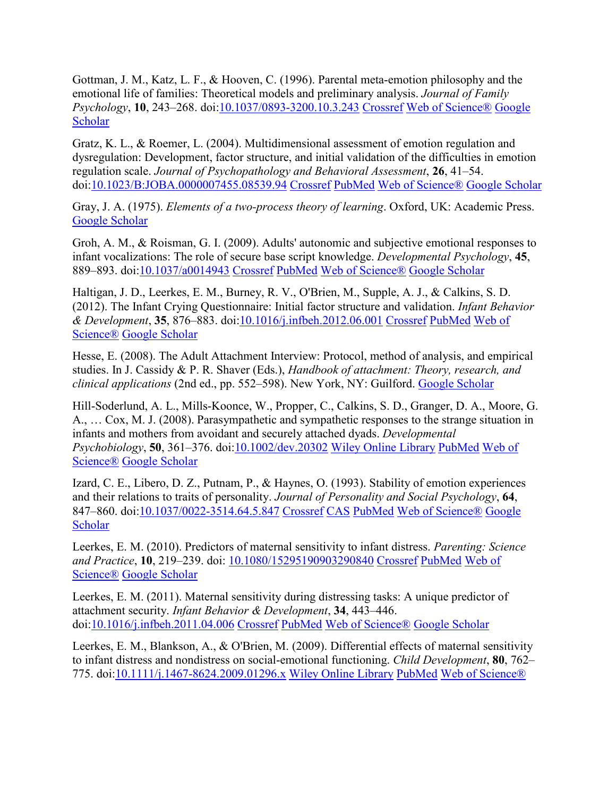Gottman, J. M., Katz, L. F., & Hooven, C. (1996). Parental meta‐emotion philosophy and the emotional life of families: Theoretical models and preliminary analysis. *Journal of Family Psychology*, **10**, 243–268. doi:[10.1037/0893‐3200.10.3.243](https://doi.org/10.1037/0893-3200.10.3.243) [Crossref](https://onlinelibrary.wiley.com/servlet/linkout?suffix=null&dbid=16&doi=10.1111%2Fcdev.12288&key=10.1037%2F0893%E2%80%903200.10.3.243) [Web of Science®](https://onlinelibrary.wiley.com/servlet/linkout?suffix=null&dbid=128&doi=10.1111%2Fcdev.12288&key=A1996VH25400001) [Google](http://scholar.google.com/scholar_lookup?hl=en&volume=Journal+of+Family+Psychology&publication_year=1996&pages=Gottman%2C+J.+M.%2C+Katz%2C+L.+F.%2C+%26+Hooven%2C+C.+%281996%29.+Parental+meta%E2%80%90emotion+philosophy+and+the+emotional+life+of+families%3A+Theoretical+models+and+preliminary+analysis.+Journal+of+Family+Psychology%2C+10%2C+243%E2%80%93268.+doi%3A10.1037%2F0893%E2%80%903200.10.3.243&journal=243-268&issue=10&author=J.+M.+Gottmanauthor=L.+F.+Katzauthor=C.+Hooven&isbn=53-74&title=Parental+meta%E2%80%90emotion+philosophy+and+the+emotional+life+of+families%3A+Theoretical+models+and+preliminary+analysis&)  [Scholar](http://scholar.google.com/scholar_lookup?hl=en&volume=Journal+of+Family+Psychology&publication_year=1996&pages=Gottman%2C+J.+M.%2C+Katz%2C+L.+F.%2C+%26+Hooven%2C+C.+%281996%29.+Parental+meta%E2%80%90emotion+philosophy+and+the+emotional+life+of+families%3A+Theoretical+models+and+preliminary+analysis.+Journal+of+Family+Psychology%2C+10%2C+243%E2%80%93268.+doi%3A10.1037%2F0893%E2%80%903200.10.3.243&journal=243-268&issue=10&author=J.+M.+Gottmanauthor=L.+F.+Katzauthor=C.+Hooven&isbn=53-74&title=Parental+meta%E2%80%90emotion+philosophy+and+the+emotional+life+of+families%3A+Theoretical+models+and+preliminary+analysis&)

Gratz, K. L., & Roemer, L. (2004). Multidimensional assessment of emotion regulation and dysregulation: Development, factor structure, and initial validation of the difficulties in emotion regulation scale. *Journal of Psychopathology and Behavioral Assessment*, **26**, 41–54. doi[:10.1023/B:JOBA.0000007455.08539.94](https://doi.org/10.1023/B:JOBA.0000007455.08539.94) [Crossref](https://onlinelibrary.wiley.com/servlet/linkout?suffix=null&dbid=16&doi=10.1111%2Fcdev.12288&key=10.1023%2FB%3AJOBA.0000007455.08539.94) [PubMed](https://onlinelibrary.wiley.com/servlet/linkout?suffix=null&dbid=8&doi=10.1111%2Fcdev.12288&key=Can%27t+run+EXECUTE.+Wrong+input+line) [Web of Science®](https://onlinelibrary.wiley.com/servlet/linkout?suffix=null&dbid=128&doi=10.1111%2Fcdev.12288&key=000187133200005) [Google Scholar](http://scholar.google.com/scholar_lookup?hl=en&volume=Journal+of+Psychopathology+and+Behavioral+Assessment&publication_year=2004&pages=Gratz%2C+K.+L.%2C+%26+Roemer%2C+L.+%282004%29.+Multidimensional+assessment+of+emotion+regulation+and+dysregulation%3A+Development%2C+factor+structure%2C+and+initial+validation+of+the+difficulties+in+emotion+regulation+scale.+Journal+of+Psychopathology+and+Behavioral+Assessment%2C+26%2C+41%E2%80%9354.+doi%3A10.1023%2FB%3AJOBA.0000007455.08539.94&journal=41-54&issue=26&author=K.+L.+Gratzauthor=L.+Roemer&isbn=53-74&title=Multidimensional+assessment+of+emotion+regulation+and+dysregulation%3A+Development%2C+factor+structure%2C+and+initial+validation+of+the+difficulties+in+emotion+regulation+scale&)

Gray, J. A. (1975). *Elements of a two‐process theory of learning*. Oxford, UK: Academic Press. [Google Scholar](http://scholar.google.com/scholar_lookup?hl=en&volume=Journal+of+Psychopathology+and+Behavioral+Assessment&publication_year=1975&pages=Gray%2C+J.+A.+%281975%29.+Elements+of+a+two%E2%80%90process+theory+of+learning.+Oxford%2C+UK%3A+Academic+Press.&journal=41-54&issue=26&author=J.+A.+Gray&title=Elements+of+a+two%E2%80%90process+theory+of+learning&)

Groh, A. M., & Roisman, G. I. (2009). Adults' autonomic and subjective emotional responses to infant vocalizations: The role of secure base script knowledge. *Developmental Psychology*, **45**, 889–893. doi[:10.1037/a0014943](https://doi.org/10.1037/a0014943) [Crossref](https://onlinelibrary.wiley.com/servlet/linkout?suffix=null&dbid=16&doi=10.1111%2Fcdev.12288&key=10.1037%2Fa0014943) [PubMed](https://onlinelibrary.wiley.com/servlet/linkout?suffix=null&dbid=8&doi=10.1111%2Fcdev.12288&key=19413441) [Web of Science®](https://onlinelibrary.wiley.com/servlet/linkout?suffix=null&dbid=128&doi=10.1111%2Fcdev.12288&key=000265731100023) [Google Scholar](http://scholar.google.com/scholar_lookup?hl=en&volume=Developmental+Psychology&publication_year=2009&pages=Groh%2C+A.+M.%2C+%26+Roisman%2C+G.+I.+%282009%29.+Adults%27+autonomic+and+subjective+emotional+responses+to+infant+vocalizations%3A+The+role+of+secure+base+script+knowledge.+Developmental+Psychology%2C+45%2C+889%E2%80%93893.+doi%3A10.1037%2Fa0014943&journal=889-893&issue=45&author=A.+M.+Grohauthor=G.+I.+Roisman&title=Adults%27+autonomic+and+subjective+emotional+responses+to+infant+vocalizations%3A+The+role+of+secure+base+script+knowledge&)

Haltigan, J. D., Leerkes, E. M., Burney, R. V., O'Brien, M., Supple, A. J., & Calkins, S. D. (2012). The Infant Crying Questionnaire: Initial factor structure and validation. *Infant Behavior & Development*, **35**, 876–883. doi:[10.1016/j.infbeh.2012.06.001](https://doi.org/10.1016/j.infbeh.2012.06.001) [Crossref](https://onlinelibrary.wiley.com/servlet/linkout?suffix=null&dbid=16&doi=10.1111%2Fcdev.12288&key=10.1016%2Fj.infbeh.2012.06.001) [PubMed](https://onlinelibrary.wiley.com/servlet/linkout?suffix=null&dbid=8&doi=10.1111%2Fcdev.12288&key=23007097) [Web of](https://onlinelibrary.wiley.com/servlet/linkout?suffix=null&dbid=128&doi=10.1111%2Fcdev.12288&key=000312179100032)  [Science®](https://onlinelibrary.wiley.com/servlet/linkout?suffix=null&dbid=128&doi=10.1111%2Fcdev.12288&key=000312179100032) [Google Scholar](http://scholar.google.com/scholar_lookup?hl=en&volume=Infant+Behavior+%26+Development&publication_year=2012&pages=Haltigan%2C+J.+D.%2C+Leerkes%2C+E.+M.%2C+Burney%2C+R.+V.%2C+O%27Brien%2C+M.%2C+Supple%2C+A.+J.%2C+%26+Calkins%2C+S.+D.+%282012%29.+The+Infant+Crying+Questionnaire%3A+Initial+factor+structure+and+validation.+Infant+Behavior+%26+Development%2C+35%2C+876%E2%80%93883.+doi%3A10.1016%2Fj.infbeh.2012.06.001&journal=876-883&issue=35&author=J.+D.+Haltiganauthor=E.+M.+Leerkesauthor=R.+V.+Burneyauthor=M.+O%27Brienauthor=A.+J.+Suppleauthor=S.+D.+Calkins&title=The+Infant+Crying+Questionnaire%3A+Initial+factor+structure+and+validation&)

Hesse, E. (2008). The Adult Attachment Interview: Protocol, method of analysis, and empirical studies. In J. Cassidy & P. R. Shaver (Eds.), *Handbook of attachment: Theory, research, and clinical applications* (2nd ed., pp. 552–598). New York, NY: Guilford. [Google Scholar](http://scholar.google.com/scholar_lookup?hl=en&volume=Infant+Behavior+%26+Development&publication_year=2008&pages=Hesse%2C+E.+%282008%29.+The+Adult+Attachment+Interview%3A+Protocol%2C+method+of+analysis%2C+and+empirical+studies.+In+J.+Cassidy+%26+P.+R.+Shaver+%28Eds.%29%2C+Handbook+of+attachment%3A+Theory%2C+research%2C+and+clinical+applications+%282nd+ed.%2C+pp.+552%E2%80%93598%29.+New+York%2C+NY%3A+Guilford.&journal=876-883&issue=35&author=E.+Hesse&isbn=552-598&title=Handbook+of+attachment%3A+Theory%2C+research%2C+and+clinical+applications&)

Hill‐Soderlund, A. L., Mills‐Koonce, W., Propper, C., Calkins, S. D., Granger, D. A., Moore, G. A., … Cox, M. J. (2008). Parasympathetic and sympathetic responses to the strange situation in infants and mothers from avoidant and securely attached dyads. *Developmental Psychobiology*, **50**, 361–376. doi[:10.1002/dev.20302](https://doi.org/10.1002/dev.20302) [Wiley Online Library](https://onlinelibrary.wiley.com/doi/10.1002/dev.20302) [PubMed](https://onlinelibrary.wiley.com/servlet/linkout?suffix=null&dbid=8&doi=10.1111%2Fcdev.12288&key=18393278) [Web of](https://onlinelibrary.wiley.com/servlet/linkout?suffix=null&dbid=128&doi=10.1111%2Fcdev.12288&key=000255666300006)  [Science®](https://onlinelibrary.wiley.com/servlet/linkout?suffix=null&dbid=128&doi=10.1111%2Fcdev.12288&key=000255666300006) [Google Scholar](http://scholar.google.com/scholar_lookup?hl=en&volume=Developmental+Psychobiology&publication_year=2008&pages=Hill%E2%80%90Soderlund%2C+A.+L.%2C+Mills%E2%80%90Koonce%2C+W.%2C+Propper%2C+C.%2C+Calkins%2C+S.+D.%2C+Granger%2C+D.+A.%2C+Moore%2C+G.+A.%2C+%E2%80%A6+Cox%2C+M.+J.+%282008%29.+Parasympathetic+and+sympathetic+responses+to+the+strange+situation+in+infants+and+mothers+from+avoidant+and+securely+attached+dyads.+Developmental+Psychobiology%2C+50%2C+361%E2%80%93376.+doi%3A10.1002%2Fdev.20302&journal=361-376&issue=50&author=A.+L.+Hill%E2%80%90Soderlundauthor=W.+Mills%E2%80%90Koonceauthor=C.+Propperauthor=S.+D.+Calkinsauthor=D.+A.+Grangerauthor=G.+A.+Mooreauthor=M.+J.+Cox&isbn=552-598&title=Parasympathetic+and+sympathetic+responses+to+the+strange+situation+in+infants+and+mothers+from+avoidant+and+securely+attached+dyads&)

Izard, C. E., Libero, D. Z., Putnam, P., & Haynes, O. (1993). Stability of emotion experiences and their relations to traits of personality. *Journal of Personality and Social Psychology*, **64**, 847–860. doi:[10.1037/0022‐3514.64.5.847](https://doi.org/10.1037/0022-3514.64.5.847) [Crossref](https://onlinelibrary.wiley.com/servlet/linkout?suffix=null&dbid=16&doi=10.1111%2Fcdev.12288&key=10.1037%2F0022%E2%80%903514.64.5.847) [CAS](https://onlinelibrary.wiley.com/servlet/linkout?suffix=null&dbid=32&doi=10.1111%2Fcdev.12288&key=1%3ASTN%3A280%3ADyaK3s3otVKrtA%253D%253D) [PubMed](https://onlinelibrary.wiley.com/servlet/linkout?suffix=null&dbid=8&doi=10.1111%2Fcdev.12288&key=8505713) [Web of Science®](https://onlinelibrary.wiley.com/servlet/linkout?suffix=null&dbid=128&doi=10.1111%2Fcdev.12288&key=A1993LB83500014) [Google](http://scholar.google.com/scholar_lookup?hl=en&volume=Journal+of+Personality+and+Social+Psychology&publication_year=1993&pages=Izard%2C+C.+E.%2C+Libero%2C+D.+Z.%2C+Putnam%2C+P.%2C+%26+Haynes%2C+O.+%281993%29.+Stability+of+emotion+experiences+and+their+relations+to+traits+of+personality.+Journal+of+Personality+and+Social+Psychology%2C+64%2C+847%E2%80%93860.+doi%3A10.1037%2F0022%E2%80%903514.64.5.847&journal=847-860&issue=64&author=C.+E.+Izardauthor=D.+Z.+Liberoauthor=P.+Putnamauthor=O.+Haynes&isbn=552-598&title=Stability+of+emotion+experiences+and+their+relations+to+traits+of+personality&)  [Scholar](http://scholar.google.com/scholar_lookup?hl=en&volume=Journal+of+Personality+and+Social+Psychology&publication_year=1993&pages=Izard%2C+C.+E.%2C+Libero%2C+D.+Z.%2C+Putnam%2C+P.%2C+%26+Haynes%2C+O.+%281993%29.+Stability+of+emotion+experiences+and+their+relations+to+traits+of+personality.+Journal+of+Personality+and+Social+Psychology%2C+64%2C+847%E2%80%93860.+doi%3A10.1037%2F0022%E2%80%903514.64.5.847&journal=847-860&issue=64&author=C.+E.+Izardauthor=D.+Z.+Liberoauthor=P.+Putnamauthor=O.+Haynes&isbn=552-598&title=Stability+of+emotion+experiences+and+their+relations+to+traits+of+personality&)

Leerkes, E. M. (2010). Predictors of maternal sensitivity to infant distress. *Parenting: Science and Practice*, **10**, 219–239. doi: [10.1080/15295190903290840](https://doi.org/10.1080/15295190903290840) [Crossref](https://onlinelibrary.wiley.com/servlet/linkout?suffix=null&dbid=16&doi=10.1111%2Fcdev.12288&key=10.1080%2F15295190903290840) [PubMed](https://onlinelibrary.wiley.com/servlet/linkout?suffix=null&dbid=8&doi=10.1111%2Fcdev.12288&key=20824194) [Web of](https://onlinelibrary.wiley.com/servlet/linkout?suffix=null&dbid=128&doi=10.1111%2Fcdev.12288&key=000280637200003)  [Science®](https://onlinelibrary.wiley.com/servlet/linkout?suffix=null&dbid=128&doi=10.1111%2Fcdev.12288&key=000280637200003) [Google Scholar](http://scholar.google.com/scholar_lookup?hl=en&volume=Parenting%3A+Science+and+Practice&publication_year=2010&pages=Leerkes%2C+E.+M.+%282010%29.+Predictors+of+maternal+sensitivity+to+infant+distress.+Parenting%3A+Science+and+Practice%2C+10%2C+219%E2%80%93239.+doi%3A+10.1080%2F15295190903290840&journal=219-239&issue=10&author=E.+M.+Leerkes&isbn=552-598&title=Predictors+of+maternal+sensitivity+to+infant+distress&)

Leerkes, E. M. (2011). Maternal sensitivity during distressing tasks: A unique predictor of attachment security. *Infant Behavior & Development*, **34**, 443–446. doi:[10.1016/j.infbeh.2011.04.006](https://doi.org/10.1016/j.infbeh.2011.04.006) [Crossref](https://onlinelibrary.wiley.com/servlet/linkout?suffix=null&dbid=16&doi=10.1111%2Fcdev.12288&key=10.1016%2Fj.infbeh.2011.04.006) [PubMed](https://onlinelibrary.wiley.com/servlet/linkout?suffix=null&dbid=8&doi=10.1111%2Fcdev.12288&key=21616538) [Web of Science®](https://onlinelibrary.wiley.com/servlet/linkout?suffix=null&dbid=128&doi=10.1111%2Fcdev.12288&key=000293484200007) [Google Scholar](http://scholar.google.com/scholar_lookup?hl=en&volume=Infant+Behavior+%26+Development&publication_year=2011&pages=Leerkes%2C+E.+M.+%282011%29.+Maternal+sensitivity+during+distressing+tasks%3A+A+unique+predictor+of+attachment+security.+Infant+Behavior+%26+Development%2C+34%2C+443%E2%80%93446.+doi%3A10.1016%2Fj.infbeh.2011.04.006&journal=443-446&issue=34&author=E.+M.+Leerkes&isbn=552-598&title=Maternal+sensitivity+during+distressing+tasks%3A+A+unique+predictor+of+attachment+security&)

Leerkes, E. M., Blankson, A., & O'Brien, M. (2009). Differential effects of maternal sensitivity to infant distress and nondistress on social‐emotional functioning. *Child Development*, **80**, 762– [775. doi:](http://scholar.google.com/scholar_lookup?hl=en&volume=Child+Development&publication_year=2009&pages=Leerkes%2C+E.+M.%2C+Blankson%2C+A.%2C+%26+O%27Brien%2C+M.+%282009%29.+Differential+effects+of+maternal+sensitivity+to+infant+distress+and+nondistress+on+social%E2%80%90emotional+functioning.+Child+Development%2C+80%2C+762%E2%80%93775.+doi%3A10.1111%2Fj.1467%E2%80%908624.2009.01296.x&journal=762-775&issue=80&author=E.+M.+Leerkesauthor=A.+Blanksonauthor=M.+O%27Brien&isbn=552-598&title=Differential+effects+of+maternal+sensitivity+to+infant+distress+and+nondistress+on+social%E2%80%90emotional+functioning&)10.1111/j.1467-8624.2009.01296.x [Wiley Online Library](https://onlinelibrary.wiley.com/doi/10.1111/j.1467-8624.2009.01296.x) [PubMed](https://onlinelibrary.wiley.com/servlet/linkout?suffix=null&dbid=8&doi=10.1111%2Fcdev.12288&key=19489902) [Web of Science®](https://onlinelibrary.wiley.com/servlet/linkout?suffix=null&dbid=128&doi=10.1111%2Fcdev.12288&key=000266110400011)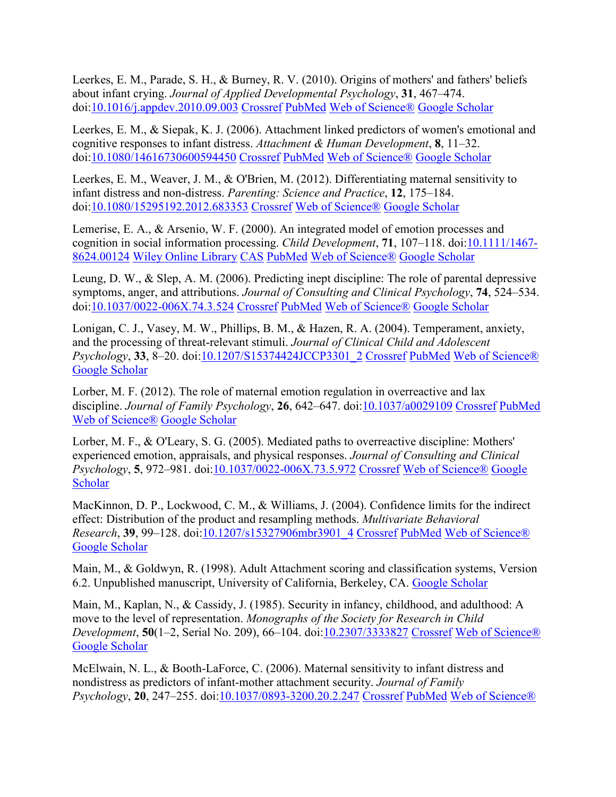Leerkes, E. M., Parade, S. H., & Burney, R. V. (2010). Origins of mothers' and fathers' beliefs about infant crying. *Journal of Applied Developmental Psychology*, **31**, 467–474. doi:[10.1016/j.appdev.2010.09.003](https://doi.org/10.1016/j.appdev.2010.09.003) [Crossref](https://onlinelibrary.wiley.com/servlet/linkout?suffix=null&dbid=16&doi=10.1111%2Fcdev.12288&key=10.1016%2Fj.appdev.2010.09.003) [PubMed](https://onlinelibrary.wiley.com/servlet/linkout?suffix=null&dbid=8&doi=10.1111%2Fcdev.12288&key=21152107) [Web of Science®](https://onlinelibrary.wiley.com/servlet/linkout?suffix=null&dbid=128&doi=10.1111%2Fcdev.12288&key=000286017900007) [Google Scholar](http://scholar.google.com/scholar_lookup?hl=en&volume=Journal+of+Applied+Developmental+Psychology&publication_year=2010&pages=Leerkes%2C+E.+M.%2C+Parade%2C+S.+H.%2C+%26+Burney%2C+R.+V.+%282010%29.+Origins+of+mothers%27+and+fathers%27+beliefs+about+infant+crying.+Journal+of+Applied+Developmental+Psychology%2C+31%2C+467%E2%80%93474.+doi%3A10.1016%2Fj.appdev.2010.09.003&journal=467-474&issue=31&author=E.+M.+Leerkesauthor=S.+H.+Paradeauthor=R.+V.+Burney&isbn=552-598&title=Origins+of+mothers%27+and+fathers%27+beliefs+about+infant+crying&)

Leerkes, E. M., & Siepak, K. J. (2006). Attachment linked predictors of women's emotional and cognitive responses to infant distress. *Attachment & Human Development*, **8**, 11–32. doi[:10.1080/14616730600594450](https://doi.org/10.1080/14616730600594450) [Crossref](https://onlinelibrary.wiley.com/servlet/linkout?suffix=null&dbid=16&doi=10.1111%2Fcdev.12288&key=10.1080%2F14616730600594450) [PubMed](https://onlinelibrary.wiley.com/servlet/linkout?suffix=null&dbid=8&doi=10.1111%2Fcdev.12288&key=16581621) [Web of Science®](https://onlinelibrary.wiley.com/servlet/linkout?suffix=null&dbid=128&doi=10.1111%2Fcdev.12288&key=000236863000002) [Google Scholar](http://scholar.google.com/scholar_lookup?hl=en&volume=Attachment+%26+Human+Development&publication_year=2006&pages=Leerkes%2C+E.+M.%2C+%26+Siepak%2C+K.+J.+%282006%29.+Attachment+linked+predictors+of+women%27s+emotional+and+cognitive+responses+to+infant+distress.+Attachment+%26+Human+Development%2C+8%2C+11%E2%80%9332.+doi%3A10.1080%2F14616730600594450&journal=11-32&issue=8&author=E.+M.+Leerkesauthor=K.+J.+Siepak&isbn=552-598&title=Attachment+linked+predictors+of+women%27s+emotional+and+cognitive+responses+to+infant+distress&)

Leerkes, E. M., Weaver, J. M., & O'Brien, M. (2012). Differentiating maternal sensitivity to infant distress and non‐distress. *Parenting: Science and Practice*, **12**, 175–184. doi[:10.1080/15295192.2012.683353](https://doi.org/10.1080/15295192.2012.683353) [Crossref](https://onlinelibrary.wiley.com/servlet/linkout?suffix=null&dbid=16&doi=10.1111%2Fcdev.12288&key=10.1080%2F15295192.2012.683353) [Web of Science®](https://onlinelibrary.wiley.com/servlet/linkout?suffix=null&dbid=128&doi=10.1111%2Fcdev.12288&key=000305487200010) [Google Scholar](http://scholar.google.com/scholar_lookup?hl=en&volume=Parenting%3A+Science+and+Practice&publication_year=2012&pages=Leerkes%2C+E.+M.%2C+Weaver%2C+J.+M.%2C+%26+O%27Brien%2C+M.+%282012%29.+Differentiating+maternal+sensitivity+to+infant+distress+and+non%E2%80%90distress.+Parenting%3A+Science+and+Practice%2C+12%2C+175%E2%80%93184.+doi%3A10.1080%2F15295192.2012.683353&journal=175-184&issue=12&author=E.+M.+Leerkesauthor=J.+M.+Weaverauthor=M.+O%27Brien&isbn=552-598&title=Differentiating+maternal+sensitivity+to+infant+distress+and+non%E2%80%90distress&)

Lemerise, E. A., & Arsenio, W. F. (2000). An integrated model of emotion processes and cognition in social information processing. *Child Development*, **71**, 107–118. doi:[10.1111/1467‐](https://doi.org/10.1111/1467-8624.00124) [8624.00124](https://doi.org/10.1111/1467-8624.00124) [Wiley Online Library](https://onlinelibrary.wiley.com/doi/10.1111/1467-8624.00124) [CAS](https://onlinelibrary.wiley.com/servlet/linkout?suffix=null&dbid=32&doi=10.1111%2Fcdev.12288&key=1%3ASTN%3A280%3ADC%252BD3cvlslektQ%253D%253D) [PubMed](https://onlinelibrary.wiley.com/servlet/linkout?suffix=null&dbid=8&doi=10.1111%2Fcdev.12288&key=10836564) [Web of Science®](https://onlinelibrary.wiley.com/servlet/linkout?suffix=null&dbid=128&doi=10.1111%2Fcdev.12288&key=000167767400013) [Google Scholar](http://scholar.google.com/scholar_lookup?hl=en&volume=Child+Development&publication_year=2000&pages=Lemerise%2C+E.+A.%2C+%26+Arsenio%2C+W.+F.+%282000%29.+An+integrated+model+of+emotion+processes+and+cognition+in+social+information+processing.+Child+Development%2C+71%2C+107%E2%80%93118.+doi%3A10.1111%2F1467%E2%80%908624.00124&journal=107-118&issue=71&author=E.+A.+Lemeriseauthor=W.+F.+Arsenio&isbn=552-598&title=An+integrated+model+of+emotion+processes+and+cognition+in+social+information+processing&)

Leung, D. W., & Slep, A. M. (2006). Predicting inept discipline: The role of parental depressive symptoms, anger, and attributions. *Journal of Consulting and Clinical Psychology*, **74**, 524–534. doi:[10.1037/0022‐006X.74.3.524](https://doi.org/10.1037/0022-006X.74.3.524) [Crossref](https://onlinelibrary.wiley.com/servlet/linkout?suffix=null&dbid=16&doi=10.1111%2Fcdev.12288&key=10.1037%2F0022%E2%80%90006X.74.3.524) [PubMed](https://onlinelibrary.wiley.com/servlet/linkout?suffix=null&dbid=8&doi=10.1111%2Fcdev.12288&key=16822109) [Web of Science®](https://onlinelibrary.wiley.com/servlet/linkout?suffix=null&dbid=128&doi=10.1111%2Fcdev.12288&key=000238786700012) [Google Scholar](http://scholar.google.com/scholar_lookup?hl=en&volume=Journal+of+Consulting+and+Clinical+Psychology&publication_year=2006&pages=Leung%2C+D.+W.%2C+%26+Slep%2C+A.+M.+%282006%29.+Predicting+inept+discipline%3A+The+role+of+parental+depressive+symptoms%2C+anger%2C+and+attributions.+Journal+of+Consulting+and+Clinical+Psychology%2C+74%2C+524%E2%80%93534.+doi%3A10.1037%2F0022%E2%80%90006X.74.3.524&journal=524-534&issue=74&author=D.+W.+Leungauthor=A.+M.+Slep&isbn=552-598&title=Predicting+inept+discipline%3A+The+role+of+parental+depressive+symptoms%2C+anger%2C+and+attributions&)

Lonigan, C. J., Vasey, M. W., Phillips, B. M., & Hazen, R. A. (2004). Temperament, anxiety, and the processing of threat‐relevant stimuli. *Journal of Clinical Child and Adolescent Psychology*, **33**, 8–20. doi[:10.1207/S15374424JCCP3301\\_2](https://doi.org/10.1207/S15374424JCCP3301_2) [Crossref](https://onlinelibrary.wiley.com/servlet/linkout?suffix=null&dbid=16&doi=10.1111%2Fcdev.12288&key=10.1207%2FS15374424JCCP3301_2) [PubMed](https://onlinelibrary.wiley.com/servlet/linkout?suffix=null&dbid=8&doi=10.1111%2Fcdev.12288&key=15028537) [Web of Science®](https://onlinelibrary.wiley.com/servlet/linkout?suffix=null&dbid=128&doi=10.1111%2Fcdev.12288&key=000188884400002) [Google Scholar](http://scholar.google.com/scholar_lookup?hl=en&volume=Journal+of+Clinical+Child+and+Adolescent+Psychology&publication_year=2004&pages=Lonigan%2C+C.+J.%2C+Vasey%2C+M.+W.%2C+Phillips%2C+B.+M.%2C+%26+Hazen%2C+R.+A.+%282004%29.+Temperament%2C+anxiety%2C+and+the+processing+of+threat%E2%80%90relevant+stimuli.+Journal+of+Clinical+Child+and+Adolescent+Psychology%2C+33%2C+8%E2%80%9320.+doi%3A10.1207%2FS15374424JCCP3301_2&journal=8-20&issue=33&author=C.+J.+Loniganauthor=M.+W.+Vaseyauthor=B.+M.+Phillipsauthor=R.+A.+Hazen&isbn=552-598&title=Temperament%2C+anxiety%2C+and+the+processing+of+threat%E2%80%90relevant+stimuli&)

Lorber, M. F. (2012). The role of maternal emotion regulation in overreactive and lax discipline. *Journal of Family Psychology*, **26**, 642–647. doi[:10.1037/a0029109](https://doi.org/10.1037/a0029109) [Crossref](https://onlinelibrary.wiley.com/servlet/linkout?suffix=null&dbid=16&doi=10.1111%2Fcdev.12288&key=10.1037%2Fa0029109) [PubMed](https://onlinelibrary.wiley.com/servlet/linkout?suffix=null&dbid=8&doi=10.1111%2Fcdev.12288&key=22888786) [Web of Science®](https://onlinelibrary.wiley.com/servlet/linkout?suffix=null&dbid=128&doi=10.1111%2Fcdev.12288&key=000307413300017) [Google Scholar](http://scholar.google.com/scholar_lookup?hl=en&volume=Journal+of+Family+Psychology&publication_year=2012&pages=Lorber%2C+M.+F.+%282012%29.+The+role+of+maternal+emotion+regulation+in+overreactive+and+lax+discipline.+Journal+of+Family+Psychology%2C+26%2C+642%E2%80%93647.+doi%3A10.1037%2Fa0029109&journal=642-647&issue=26&author=M.+F.+Lorber&isbn=552-598&title=The+role+of+maternal+emotion+regulation+in+overreactive+and+lax+discipline&)

Lorber, M. F., & O'Leary, S. G. (2005). Mediated paths to overreactive discipline: Mothers' experienced emotion, appraisals, and physical responses. *Journal of Consulting and Clinical Psychology*, **5**, 972–981. doi:[10.1037/0022‐006X.73.5.972](https://doi.org/10.1037/0022-006X.73.5.972) [Crossref](https://onlinelibrary.wiley.com/servlet/linkout?suffix=null&dbid=16&doi=10.1111%2Fcdev.12288&key=10.1037%2F0022%E2%80%90006X.73.5.972) [Web of Science®](https://onlinelibrary.wiley.com/servlet/linkout?suffix=null&dbid=128&doi=10.1111%2Fcdev.12288&key=000233282600020) [Google](http://scholar.google.com/scholar_lookup?hl=en&volume=Journal+of+Consulting+and+Clinical+Psychology&publication_year=2005&pages=Lorber%2C+M.+F.%2C+%26+O%27Leary%2C+S.+G.+%282005%29.+Mediated+paths+to+overreactive+discipline%3A+Mothers%27+experienced+emotion%2C+appraisals%2C+and+physical+responses.+Journal+of+Consulting+and+Clinical+Psychology%2C+5%2C+972%E2%80%93981.+doi%3A10.1037%2F0022%E2%80%90006X.73.5.972&journal=972-981&issue=5&author=M.+F.+Lorberauthor=S.+G.+O%27Leary&isbn=552-598&title=Mediated+paths+to+overreactive+discipline%3A+Mothers%27+experienced+emotion%2C+appraisals%2C+and+physical+responses&)  **[Scholar](http://scholar.google.com/scholar_lookup?hl=en&volume=Journal+of+Consulting+and+Clinical+Psychology&publication_year=2005&pages=Lorber%2C+M.+F.%2C+%26+O%27Leary%2C+S.+G.+%282005%29.+Mediated+paths+to+overreactive+discipline%3A+Mothers%27+experienced+emotion%2C+appraisals%2C+and+physical+responses.+Journal+of+Consulting+and+Clinical+Psychology%2C+5%2C+972%E2%80%93981.+doi%3A10.1037%2F0022%E2%80%90006X.73.5.972&journal=972-981&issue=5&author=M.+F.+Lorberauthor=S.+G.+O%27Leary&isbn=552-598&title=Mediated+paths+to+overreactive+discipline%3A+Mothers%27+experienced+emotion%2C+appraisals%2C+and+physical+responses&)** 

MacKinnon, D. P., Lockwood, C. M., & Williams, J. (2004). Confidence limits for the indirect effect: Distribution of the product and resampling methods. *Multivariate Behavioral Research*, **39**, 99–128. doi[:10.1207/s15327906mbr3901\\_4](https://doi.org/10.1207/s15327906mbr3901_4) [Crossref](https://onlinelibrary.wiley.com/servlet/linkout?suffix=null&dbid=16&doi=10.1111%2Fcdev.12288&key=10.1207%2Fs15327906mbr3901_4) [PubMed](https://onlinelibrary.wiley.com/servlet/linkout?suffix=null&dbid=8&doi=10.1111%2Fcdev.12288&key=20157642) [Web of Science®](https://onlinelibrary.wiley.com/servlet/linkout?suffix=null&dbid=128&doi=10.1111%2Fcdev.12288&key=000222172500004) [Google Scholar](http://scholar.google.com/scholar_lookup?hl=en&volume=Multivariate+Behavioral+Research&publication_year=2004&pages=MacKinnon%2C+D.+P.%2C+Lockwood%2C+C.+M.%2C+%26+Williams%2C+J.+%282004%29.+Confidence+limits+for+the+indirect+effect%3A+Distribution+of+the+product+and+resampling+methods.+Multivariate+Behavioral+Research%2C+39%2C+99%E2%80%93128.+doi%3A10.1207%2Fs15327906mbr3901_4&journal=99-128&issue=39&author=D.+P.+MacKinnonauthor=C.+M.+Lockwoodauthor=J.+Williams&isbn=552-598&title=Confidence+limits+for+the+indirect+effect%3A+Distribution+of+the+product+and+resampling+methods&)

Main, M., & Goldwyn, R. (1998). Adult Attachment scoring and classification systems, Version 6.2. Unpublished manuscript, University of California, Berkeley, CA. [Google Scholar](http://scholar.google.com/scholar?hl=en&q=Main%2C+M.%2C+%26+Goldwyn%2C+R.+%281998%29.+Adult+Attachment+scoring+and+classification+systems%2C+Version+6.2.+Unpublished+manuscript%2C+University+of+California%2C+Berkeley%2C+CA.)

Main, M., Kaplan, N., & Cassidy, J. (1985). Security in infancy, childhood, and adulthood: A move to the level of representation. *Monographs of the Society for Research in Child Development*, **50**(1–2, Serial No. 209), 66–104. doi[:10.2307/3333827](https://doi.org/10.2307/3333827) [Crossref](https://onlinelibrary.wiley.com/servlet/linkout?suffix=null&dbid=16&doi=10.1111%2Fcdev.12288&key=10.2307%2F3333827) [Web of Science®](https://onlinelibrary.wiley.com/servlet/linkout?suffix=null&dbid=128&doi=10.1111%2Fcdev.12288&key=A1985AQV4800005) [Google Scholar](http://scholar.google.com/scholar_lookup?hl=en&volume=Monographs+of+the+Society+for+Research+in+Child+Development&publication_year=1985&pages=Main%2C+M.%2C+Kaplan%2C+N.%2C+%26+Cassidy%2C+J.+%281985%29.+Security+in+infancy%2C+childhood%2C+and+adulthood%3A+A+move+to+the+level+of+representation.+Monographs+of+the+Society+for+Research+in+Child+Development%2C+50%281%E2%80%932%2C+Serial+No.+209%29%2C+66%E2%80%93104.+doi%3A10.2307%2F3333827&journal=66-104&issue=50&author=M.+Mainauthor=N.+Kaplanauthor=J.+Cassidy&isbn=552-598&title=Security+in+infancy%2C+childhood%2C+and+adulthood%3A+A+move+to+the+level+of+representation&)

McElwain, N. L., & Booth‐LaForce, C. (2006). Maternal sensitivity to infant distress and nondistress as predictors of infant‐mother attachment security. *Journal of Family [Psychology](http://scholar.google.com/scholar_lookup?hl=en&volume=Journal+of+Family+Psychology&publication_year=2006&pages=McElwain%2C+N.+L.%2C+%26+Booth%E2%80%90LaForce%2C+C.+%282006%29.+Maternal+sensitivity+to+infant+distress+and+nondistress+as+predictors+of+infant%E2%80%90mother+attachment+security.+Journal+of+Family+Psychology%2C+20%2C+247%E2%80%93255.+doi%3A10.1037%2F0893%E2%80%903200.20.2.247&journal=247-255&issue=20&author=N.+L.+McElwainauthor=C.+Booth%E2%80%90LaForce&isbn=552-598&title=Maternal+sensitivity+to+infant+distress+and+nondistress+as+predictors+of+infant%E2%80%90mother+attachment+security&)*, **20**, 247–255. doi:[10.1037/0893‐3200.20.2.247](https://doi.org/10.1037/0893-3200.20.2.247) [Crossref](https://onlinelibrary.wiley.com/servlet/linkout?suffix=null&dbid=16&doi=10.1111%2Fcdev.12288&key=10.1037%2F0893%E2%80%903200.20.2.247) [PubMed](https://onlinelibrary.wiley.com/servlet/linkout?suffix=null&dbid=8&doi=10.1111%2Fcdev.12288&key=16756400) [Web of Science®](https://onlinelibrary.wiley.com/servlet/linkout?suffix=null&dbid=128&doi=10.1111%2Fcdev.12288&key=000238333900008)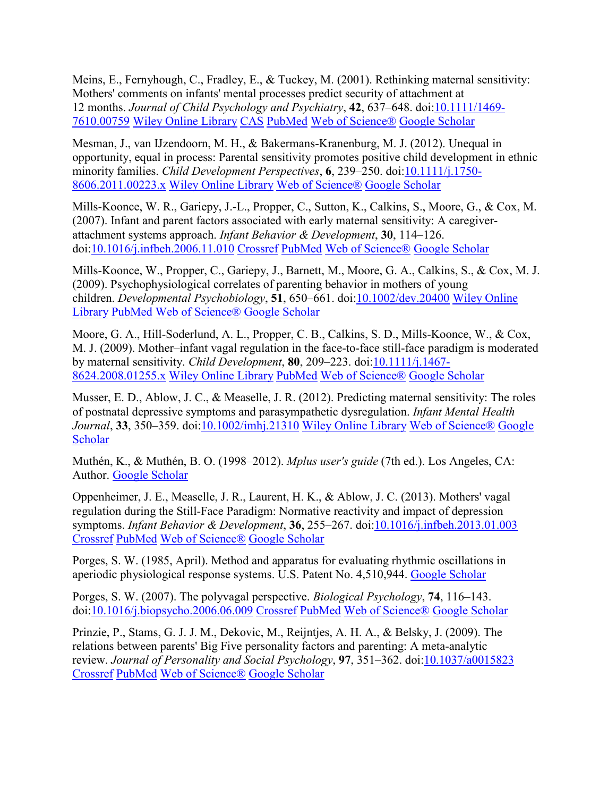Meins, E., Fernyhough, C., Fradley, E., & Tuckey, M. (2001). Rethinking maternal sensitivity: Mothers' comments on infants' mental processes predict security of attachment at 12 months. *Journal of Child Psychology and Psychiatry*, **42**, 637–648. doi:[10.1111/1469‐](https://doi.org/10.1111/1469-7610.00759) [7610.00759](https://doi.org/10.1111/1469-7610.00759) [Wiley Online Library](https://onlinelibrary.wiley.com/doi/10.1111/1469-7610.00759) [CAS](https://onlinelibrary.wiley.com/servlet/linkout?suffix=null&dbid=32&doi=10.1111%2Fcdev.12288&key=1%3ASTN%3A280%3ADC%252BD38%252Fit1eksg%253D%253D) [PubMed](https://onlinelibrary.wiley.com/servlet/linkout?suffix=null&dbid=8&doi=10.1111%2Fcdev.12288&key=11464968) [Web of Science®](https://onlinelibrary.wiley.com/servlet/linkout?suffix=null&dbid=128&doi=10.1111%2Fcdev.12288&key=000170077500008) [Google Scholar](http://scholar.google.com/scholar_lookup?hl=en&volume=Journal+of+Child+Psychology+and+Psychiatry&publication_year=2001&pages=Meins%2C+E.%2C+Fernyhough%2C+C.%2C+Fradley%2C+E.%2C+%26+Tuckey%2C+M.+%282001%29.+Rethinking+maternal+sensitivity%3A+Mothers%27+comments+on+infants%27+mental+processes+predict+security+of+attachment+at+12%C2%A0months.+Journal+of+Child+Psychology+and+Psychiatry%2C+42%2C+637%E2%80%93648.+doi%3A10.1111%2F1469%E2%80%907610.00759&journal=637-648&issue=42&author=E.+Meinsauthor=C.+Fernyhoughauthor=E.+Fradleyauthor=M.+Tuckey&isbn=552-598&title=Rethinking+maternal+sensitivity%3A+Mothers%27+comments+on+infants%27+mental+processes+predict+security+of+attachment+at+12%C2%A0months&)

Mesman, J., van IJzendoorn, M. H., & Bakermans‐Kranenburg, M. J. (2012). Unequal in opportunity, equal in process: Parental sensitivity promotes positive child development in ethnic minority families. *Child Development Perspectives*, **6**, 239–250. doi:[10.1111/j.1750‐](https://doi.org/10.1111/j.1750-8606.2011.00223.x) [8606.2011.00223.x](https://doi.org/10.1111/j.1750-8606.2011.00223.x) [Wiley Online Library](https://onlinelibrary.wiley.com/doi/10.1111/j.1750-8606.2011.00223.x) [Web of Science®](https://onlinelibrary.wiley.com/servlet/linkout?suffix=null&dbid=128&doi=10.1111%2Fcdev.12288&key=000307582600006) [Google Scholar](http://scholar.google.com/scholar_lookup?hl=en&volume=Child+Development+Perspectives&publication_year=2012&pages=Mesman%2C+J.%2C+van+IJzendoorn%2C+M.+H.%2C+%26+Bakermans%E2%80%90Kranenburg%2C+M.+J.+%282012%29.+Unequal+in+opportunity%2C+equal+in+process%3A+Parental+sensitivity+promotes+positive+child+development+in+ethnic+minority+families.+Child+Development+Perspectives%2C+6%2C+239%E2%80%93250.+doi%3A10.1111%2Fj.1750%E2%80%908606.2011.00223.x&journal=239-250&issue=6&author=J.+Mesmanauthor=M.+H.+van+IJzendoornauthor=M.+J.+Bakermans%E2%80%90Kranenburg&isbn=552-598&title=Unequal+in+opportunity%2C+equal+in+process%3A+Parental+sensitivity+promotes+positive+child+development+in+ethnic+minority+families&)

Mills‐Koonce, W. R., Gariepy, J.‐L., Propper, C., Sutton, K., Calkins, S., Moore, G., & Cox, M. (2007). Infant and parent factors associated with early maternal sensitivity: A caregiver‐ attachment systems approach. *Infant Behavior & Development*, **30**, 114–126. doi:[10.1016/j.infbeh.2006.11.010](https://doi.org/10.1016/j.infbeh.2006.11.010) [Crossref](https://onlinelibrary.wiley.com/servlet/linkout?suffix=null&dbid=16&doi=10.1111%2Fcdev.12288&key=10.1016%2Fj.infbeh.2006.11.010) [PubMed](https://onlinelibrary.wiley.com/servlet/linkout?suffix=null&dbid=8&doi=10.1111%2Fcdev.12288&key=17292784) [Web of Science®](https://onlinelibrary.wiley.com/servlet/linkout?suffix=null&dbid=128&doi=10.1111%2Fcdev.12288&key=000244808500011) [Google Scholar](http://scholar.google.com/scholar_lookup?hl=en&volume=Infant+Behavior+%26+Development&publication_year=2007&pages=Mills%E2%80%90Koonce%2C+W.+R.%2C+Gariepy%2C+J.%E2%80%90L.%2C+Propper%2C+C.%2C+Sutton%2C+K.%2C+Calkins%2C+S.%2C+Moore%2C+G.%2C+%26+Cox%2C+M.+%282007%29.+Infant+and+parent+factors+associated+with+early+maternal+sensitivity%3A+A+caregiver%E2%80%90+attachment+systems+approach.+Infant+Behavior+%26+Development%2C+30%2C+114%E2%80%93126.+doi%3A10.1016%2Fj.infbeh.2006.11.010&journal=114-126&issue=30&author=W.+R.+Mills%E2%80%90Koonceauthor=J.%E2%80%90L.+Gariepyauthor=C.+Propperauthor=K.+Suttonauthor=S.+Calkinsauthor=G.+Mooreauthor=M.+Cox&isbn=552-598&title=Infant+and+parent+factors+associated+with+early+maternal+sensitivity%3A+A+caregiver%E2%80%90+attachment+systems+approach&)

Mills‐Koonce, W., Propper, C., Gariepy, J., Barnett, M., Moore, G. A., Calkins, S., & Cox, M. J. (2009). Psychophysiological correlates of parenting behavior in mothers of young children. *Developmental Psychobiology*, **51**, 650–661. doi[:10.1002/dev.20400](https://doi.org/10.1002/dev.20400) [Wiley Online](https://onlinelibrary.wiley.com/doi/10.1002/dev.20400)  [Library](https://onlinelibrary.wiley.com/doi/10.1002/dev.20400) [PubMed](https://onlinelibrary.wiley.com/servlet/linkout?suffix=null&dbid=8&doi=10.1111%2Fcdev.12288&key=19739135) [Web of Science®](https://onlinelibrary.wiley.com/servlet/linkout?suffix=null&dbid=128&doi=10.1111%2Fcdev.12288&key=000272671000005) [Google Scholar](http://scholar.google.com/scholar_lookup?hl=en&volume=Developmental+Psychobiology&publication_year=2009&pages=Mills%E2%80%90Koonce%2C+W.%2C+Propper%2C+C.%2C+Gariepy%2C+J.%2C+Barnett%2C+M.%2C+Moore%2C+G.+A.%2C+Calkins%2C+S.%2C+%26+Cox%2C+M.+J.+%282009%29.+Psychophysiological+correlates+of+parenting+behavior+in+mothers+of+young+children.+Developmental+Psychobiology%2C+51%2C+650%E2%80%93661.+doi%3A10.1002%2Fdev.20400&journal=650-661&issue=51&author=W.+Mills%E2%80%90Koonceauthor=C.+Propperauthor=J.+Gariepyauthor=M.+Barnettauthor=G.+A.+Mooreauthor=S.+Calkinsauthor=M.+J.+Cox&isbn=552-598&title=Psychophysiological+correlates+of+parenting+behavior+in+mothers+of+young+children&)

Moore, G. A., Hill-Soderlund, A. L., Propper, C. B., Calkins, S. D., Mills-Koonce, W., & Cox, M. J. (2009). Mother–infant vagal regulation in the face‐to‐face still‐face paradigm is moderated by maternal sensitivity. *Child Development*, **80**, 209–223. doi:[10.1111/j.1467‐](https://doi.org/10.1111/j.1467-8624.2008.01255.x) [8624.2008.01255.x](https://doi.org/10.1111/j.1467-8624.2008.01255.x) [Wiley Online Library](https://onlinelibrary.wiley.com/doi/10.1111/j.1467-8624.2008.01255.x) [PubMed](https://onlinelibrary.wiley.com/servlet/linkout?suffix=null&dbid=8&doi=10.1111%2Fcdev.12288&key=19236402) [Web of Science®](https://onlinelibrary.wiley.com/servlet/linkout?suffix=null&dbid=128&doi=10.1111%2Fcdev.12288&key=000263132900016) [Google Scholar](http://scholar.google.com/scholar_lookup?hl=en&volume=Child+Development&publication_year=2009&pages=Moore%2C+G.+A.%2C+Hill%E2%80%90Soderlund%2C+A.+L.%2C+Propper%2C+C.+B.%2C+Calkins%2C+S.+D.%2C+Mills%E2%80%90Koonce%2C+W.%2C+%26+Cox%2C+M.+J.+%282009%29.+Mother%E2%80%93infant+vagal+regulation+in+the+face%E2%80%90to%E2%80%90face+still%E2%80%90face+paradigm+is+moderated+by+maternal+sensitivity.+Child+Development%2C+80%2C+209%E2%80%93223.+doi%3A10.1111%2Fj.1467%E2%80%908624.2008.01255.x&journal=209-223&issue=80&author=G.+A.+Mooreauthor=A.+L.+Hill%E2%80%90Soderlundauthor=C.+B.+Propperauthor=S.+D.+Calkinsauthor=W.+Mills%E2%80%90Koonceauthor=M.+J.+Cox&isbn=552-598&title=Mother%E2%80%93infant+vagal+regulation+in+the+face%E2%80%90to%E2%80%90face+still%E2%80%90face+paradigm+is+moderated+by+maternal+sensitivity&)

Musser, E. D., Ablow, J. C., & Measelle, J. R. (2012). Predicting maternal sensitivity: The roles of postnatal depressive symptoms and parasympathetic dysregulation. *Infant Mental Health Journal*, **33**, 350–359. doi:[10.1002/imhj.21310](https://doi.org/10.1002/imhj.21310) [Wiley Online Library](https://onlinelibrary.wiley.com/doi/10.1002/imhj.21310) [Web of Science®](https://onlinelibrary.wiley.com/servlet/linkout?suffix=null&dbid=128&doi=10.1111%2Fcdev.12288&key=000306291600003) [Google](http://scholar.google.com/scholar_lookup?hl=en&volume=Infant+Mental+Health+Journal&publication_year=2012&pages=Musser%2C+E.+D.%2C+Ablow%2C+J.+C.%2C+%26+Measelle%2C+J.+R.+%282012%29.+Predicting+maternal+sensitivity%3A+The+roles+of+postnatal+depressive+symptoms+and+parasympathetic+dysregulation.+Infant+Mental+Health+Journal%2C+33%2C+350%E2%80%93359.+doi%3A10.1002%2Fimhj.21310&journal=350-359&issue=33&author=E.+D.+Musserauthor=J.+C.+Ablowauthor=J.+R.+Measelle&isbn=552-598&title=Predicting+maternal+sensitivity%3A+The+roles+of+postnatal+depressive+symptoms+and+parasympathetic+dysregulation&)  **[Scholar](http://scholar.google.com/scholar_lookup?hl=en&volume=Infant+Mental+Health+Journal&publication_year=2012&pages=Musser%2C+E.+D.%2C+Ablow%2C+J.+C.%2C+%26+Measelle%2C+J.+R.+%282012%29.+Predicting+maternal+sensitivity%3A+The+roles+of+postnatal+depressive+symptoms+and+parasympathetic+dysregulation.+Infant+Mental+Health+Journal%2C+33%2C+350%E2%80%93359.+doi%3A10.1002%2Fimhj.21310&journal=350-359&issue=33&author=E.+D.+Musserauthor=J.+C.+Ablowauthor=J.+R.+Measelle&isbn=552-598&title=Predicting+maternal+sensitivity%3A+The+roles+of+postnatal+depressive+symptoms+and+parasympathetic+dysregulation&)** 

Muthén, K., & Muthén, B. O. (1998–2012). *Mplus user's guide* (7th ed.). Los Angeles, CA: Author. [Google Scholar](http://scholar.google.com/scholar_lookup?hl=en&volume=Infant+Mental+Health+Journal&publication_year=1998&pages=Muth%C3%A9n%2C+K.%2C+%26+Muth%C3%A9n%2C+B.+O.+%281998%E2%80%932012%29.+Mplus+user%27s+guide+%287th+ed.%29.+Los+Angeles%2C+CA%3A+Author.&journal=350-359&issue=33&author=K.+Muth%C3%A9nauthor=B.+O.+Muth%C3%A9n&title=Mplus+user%27s+guide&)

Oppenheimer, J. E., Measelle, J. R., Laurent, H. K., & Ablow, J. C. (2013). Mothers' vagal regulation during the Still‐Face Paradigm: Normative reactivity and impact of depression symptoms. *Infant Behavior & Development*, **36**, 255–267. doi:[10.1016/j.infbeh.2013.01.003](https://doi.org/10.1016/j.infbeh.2013.01.003) [Crossref](https://onlinelibrary.wiley.com/servlet/linkout?suffix=null&dbid=16&doi=10.1111%2Fcdev.12288&key=10.1016%2Fj.infbeh.2013.01.003) [PubMed](https://onlinelibrary.wiley.com/servlet/linkout?suffix=null&dbid=8&doi=10.1111%2Fcdev.12288&key=23454427) [Web of Science®](https://onlinelibrary.wiley.com/servlet/linkout?suffix=null&dbid=128&doi=10.1111%2Fcdev.12288&key=000317883300009) [Google Scholar](http://scholar.google.com/scholar_lookup?hl=en&volume=Infant+Behavior+%26+Development&publication_year=2013&pages=Oppenheimer%2C+J.+E.%2C+Measelle%2C+J.+R.%2C+Laurent%2C+H.+K.%2C+%26+Ablow%2C+J.+C.+%282013%29.+Mothers%27+vagal+regulation+during+the+Still%E2%80%90Face+Paradigm%3A+Normative+reactivity+and+impact+of+depression+symptoms.+Infant+Behavior+%26+Development%2C+36%2C+255%E2%80%93267.+doi%3A10.1016%2Fj.infbeh.2013.01.003&journal=255-267&issue=36&author=J.+E.+Oppenheimerauthor=J.+R.+Measelleauthor=H.+K.+Laurentauthor=J.+C.+Ablow&title=Mothers%27+vagal+regulation+during+the+Still%E2%80%90Face+Paradigm%3A+Normative+reactivity+and+impact+of+depression+symptoms&)

Porges, S. W. (1985, April). Method and apparatus for evaluating rhythmic oscillations in aperiodic physiological response systems. U.S. Patent No. 4,510,944. [Google Scholar](http://scholar.google.com/scholar?hl=en&q=Porges%2C+S.+W.+%281985%2C+April%29.+Method+and+apparatus+for+evaluating+rhythmic+oscillations+in+aperiodic+physiological+response+systems.+U.S.+Patent+No.+4%2C510%2C944.)

Porges, S. W. (2007). The polyvagal perspective. *Biological Psychology*, **74**, 116–143. doi:[10.1016/j.biopsycho.2](https://doi.org/10.1016/j.biopsycho.2006.06.009)006.06.009 [Crossref](https://onlinelibrary.wiley.com/servlet/linkout?suffix=null&dbid=16&doi=10.1111%2Fcdev.12288&key=10.1016%2Fj.biopsycho.2006.06.009) [PubMed](https://onlinelibrary.wiley.com/servlet/linkout?suffix=null&dbid=8&doi=10.1111%2Fcdev.12288&key=17049418) [Web of Science®](https://onlinelibrary.wiley.com/servlet/linkout?suffix=null&dbid=128&doi=10.1111%2Fcdev.12288&key=000243709800002) [Google Scholar](http://scholar.google.com/scholar_lookup?hl=en&volume=Biological+Psychology&publication_year=2007&pages=Porges%2C+S.+W.+%282007%29.+The+polyvagal+perspective.+Biological+Psychology%2C+74%2C+116%E2%80%93143.+doi%3A10.1016%2Fj.biopsycho.2006.06.009&journal=116-143&issue=74&author=S.+W.+Porges&title=The+polyvagal+perspective&)

Prinzie, P., Stams, G. J. J. M., Dekovic, M., Reijntjes, A. H. A., & Belsky, J. (2009). The relations between parents' Big Five personality factors and parenting: A meta-analytic review. *Journal of Personality and Social Psychology*, **97**, 351–362. doi[:10.1037/a0015823](https://doi.org/10.1037/a0015823) [Crossref](https://onlinelibrary.wiley.com/servlet/linkout?suffix=null&dbid=16&doi=10.1111%2Fcdev.12288&key=10.1037%2Fa0015823) [PubMed](https://onlinelibrary.wiley.com/servlet/linkout?suffix=null&dbid=8&doi=10.1111%2Fcdev.12288&key=19634980) [Web of Science®](https://onlinelibrary.wiley.com/servlet/linkout?suffix=null&dbid=128&doi=10.1111%2Fcdev.12288&key=000268347300010) [Google Scholar](http://scholar.google.com/scholar_lookup?hl=en&volume=Journal+of+Personality+and+Social+Psychology&publication_year=2009&pages=Prinzie%2C+P.%2C+Stams%2C+G.+J.+J.+M.%2C+Dekovic%2C+M.%2C+Reijntjes%2C+A.+H.+A.%2C+%26+Belsky%2C+J.+%282009%29.+The+relations+between+parents%27+Big+Five+personality+factors+and+parenting%3A+A+meta%E2%80%90analytic+review.+Journal+of+Personality+and+Social+Psychology%2C+97%2C+351%E2%80%93362.+doi%3A10.1037%2Fa0015823&journal=351-362&issue=97&author=P.+Prinzieauthor=G.+J.+J.+M.+Stamsauthor=M.+Dekovicauthor=A.+H.+A.+Reijntjesauthor=J.+Belsky&title=The+relations+between+parents%27+Big+Five+personality+factors+and+parenting%3A+A+meta%E2%80%90analytic+review&)